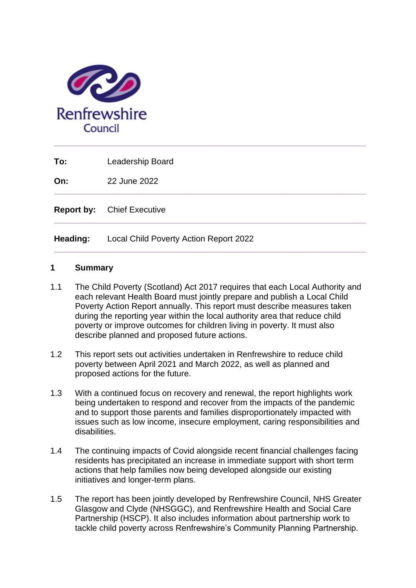

**To:** Leadership Board

**On:** 22 June 2022

**Report by:** Chief Executive

**Heading:** Local Child Poverty Action Report 2022

### **1 Summary**

1.1 The Child Poverty (Scotland) Act 2017 requires that each Local Authority and each relevant Health Board must jointly prepare and publish a Local Child Poverty Action Report annually. This report must describe measures taken during the reporting year within the local authority area that reduce child poverty or improve outcomes for children living in poverty. It must also describe planned and proposed future actions.

**\_\_\_\_\_\_\_\_\_\_\_\_\_\_\_\_\_\_\_\_\_\_\_\_\_\_\_\_\_\_\_\_\_\_\_\_\_\_\_\_\_\_\_\_\_\_\_\_\_\_\_\_\_\_\_\_\_\_\_\_\_\_\_\_\_\_\_**

**\_\_\_\_\_\_\_\_\_\_\_\_\_\_\_\_\_\_\_\_\_\_\_\_\_\_\_\_\_\_\_\_\_\_\_\_\_\_\_\_\_\_\_\_\_\_\_\_\_\_\_\_\_\_\_\_\_\_\_\_\_\_\_\_\_\_\_**

**\_\_\_\_\_\_\_\_\_\_\_\_\_\_\_\_\_\_\_\_\_\_\_\_\_\_\_\_\_\_\_\_\_\_\_\_\_\_\_\_\_\_\_\_\_\_\_\_\_\_\_\_\_\_\_\_\_\_\_\_\_\_\_\_\_\_\_**

- 1.2 This report sets out activities undertaken in Renfrewshire to reduce child poverty between April 2021 and March 2022, as well as planned and proposed actions for the future.
- 1.3 With a continued focus on recovery and renewal, the report highlights work being undertaken to respond and recover from the impacts of the pandemic and to support those parents and families disproportionately impacted with issues such as low income, insecure employment, caring responsibilities and disabilities.
- 1.4 The continuing impacts of Covid alongside recent financial challenges facing residents has precipitated an increase in immediate support with short term actions that help families now being developed alongside our existing initiatives and longer-term plans.
- 1.5 The report has been jointly developed by Renfrewshire Council, NHS Greater Glasgow and Clyde (NHSGGC), and Renfrewshire Health and Social Care Partnership (HSCP). It also includes information about partnership work to tackle child poverty across Renfrewshire's Community Planning Partnership.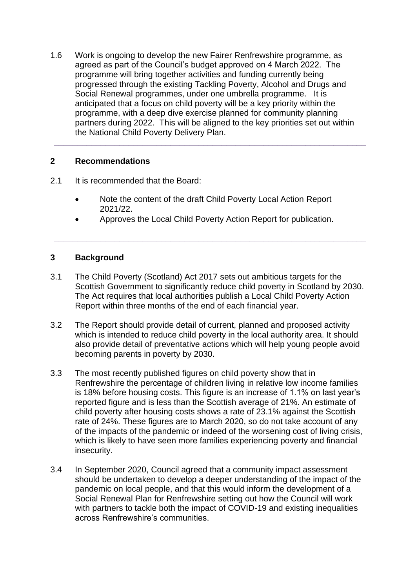1.6 Work is ongoing to develop the new Fairer Renfrewshire programme, as agreed as part of the Council's budget approved on 4 March 2022. The programme will bring together activities and funding currently being progressed through the existing Tackling Poverty, Alcohol and Drugs and Social Renewal programmes, under one umbrella programme. It is anticipated that a focus on child poverty will be a key priority within the programme, with a deep dive exercise planned for community planning partners during 2022. This will be aligned to the key priorities set out within the National Child Poverty Delivery Plan.

**\_\_\_\_\_\_\_\_\_\_\_\_\_\_\_\_\_\_\_\_\_\_\_\_\_\_\_\_\_\_\_\_\_\_\_\_\_\_\_\_\_\_\_\_\_\_\_\_\_\_\_\_\_\_\_\_\_\_\_\_\_\_\_\_\_\_\_**

## **2 Recommendations**

- 2.1 It is recommended that the Board:
	- Note the content of the draft Child Poverty Local Action Report 2021/22.
	- Approves the Local Child Poverty Action Report for publication.

**\_\_\_\_\_\_\_\_\_\_\_\_\_\_\_\_\_\_\_\_\_\_\_\_\_\_\_\_\_\_\_\_\_\_\_\_\_\_\_\_\_\_\_\_\_\_\_\_\_\_\_\_\_\_\_\_\_\_\_\_\_\_\_\_\_\_\_**

# **3 Background**

- 3.1 The Child Poverty (Scotland) Act 2017 sets out ambitious targets for the Scottish Government to significantly reduce child poverty in Scotland by 2030. The Act requires that local authorities publish a Local Child Poverty Action Report within three months of the end of each financial year.
- 3.2 The Report should provide detail of current, planned and proposed activity which is intended to reduce child poverty in the local authority area. It should also provide detail of preventative actions which will help young people avoid becoming parents in poverty by 2030.
- 3.3 The most recently published figures on child poverty show that in Renfrewshire the percentage of children living in relative low income families is 18% before housing costs. This figure is an increase of 1.1% on last year's reported figure and is less than the Scottish average of 21%. An estimate of child poverty after housing costs shows a rate of 23.1% against the Scottish rate of 24%. These figures are to March 2020, so do not take account of any of the impacts of the pandemic or indeed of the worsening cost of living crisis, which is likely to have seen more families experiencing poverty and financial insecurity.
- 3.4 In September 2020, Council agreed that a community impact assessment should be undertaken to develop a deeper understanding of the impact of the pandemic on local people, and that this would inform the development of a Social Renewal Plan for Renfrewshire setting out how the Council will work with partners to tackle both the impact of COVID-19 and existing inequalities across Renfrewshire's communities.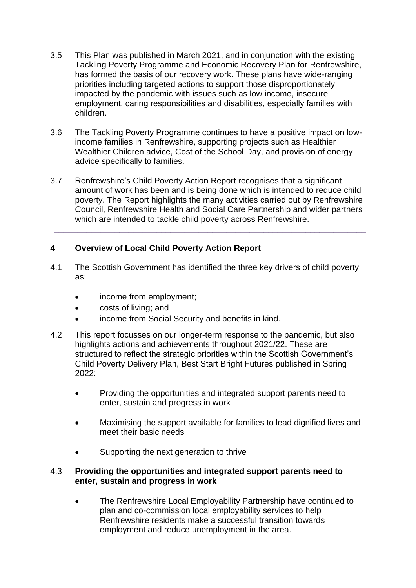- 3.5 This Plan was published in March 2021, and in conjunction with the existing Tackling Poverty Programme and Economic Recovery Plan for Renfrewshire, has formed the basis of our recovery work. These plans have wide-ranging priorities including targeted actions to support those disproportionately impacted by the pandemic with issues such as low income, insecure employment, caring responsibilities and disabilities, especially families with children.
- 3.6 The Tackling Poverty Programme continues to have a positive impact on lowincome families in Renfrewshire, supporting projects such as Healthier Wealthier Children advice, Cost of the School Day, and provision of energy advice specifically to families.
- 3.7 Renfrewshire's Child Poverty Action Report recognises that a significant amount of work has been and is being done which is intended to reduce child poverty. The Report highlights the many activities carried out by Renfrewshire Council, Renfrewshire Health and Social Care Partnership and wider partners which are intended to tackle child poverty across Renfrewshire.

**\_\_\_\_\_\_\_\_\_\_\_\_\_\_\_\_\_\_\_\_\_\_\_\_\_\_\_\_\_\_\_\_\_\_\_\_\_\_\_\_\_\_\_\_\_\_\_\_\_\_\_\_\_\_\_\_\_\_\_\_\_\_\_\_\_\_\_**

# **4 Overview of Local Child Poverty Action Report**

- 4.1 The Scottish Government has identified the three key drivers of child poverty as:
	- income from employment;
	- costs of living; and
	- income from Social Security and benefits in kind.
- 4.2 This report focusses on our longer-term response to the pandemic, but also highlights actions and achievements throughout 2021/22. These are structured to reflect the strategic priorities within the Scottish Government's Child Poverty Delivery Plan, Best Start Bright Futures published in Spring  $2022:$ 
	- Providing the opportunities and integrated support parents need to enter, sustain and progress in work
	- Maximising the support available for families to lead dignified lives and meet their basic needs
	- Supporting the next generation to thrive

## 4.3 **Providing the opportunities and integrated support parents need to enter, sustain and progress in work**

• The Renfrewshire Local Employability Partnership have continued to plan and co-commission local employability services to help Renfrewshire residents make a successful transition towards employment and reduce unemployment in the area.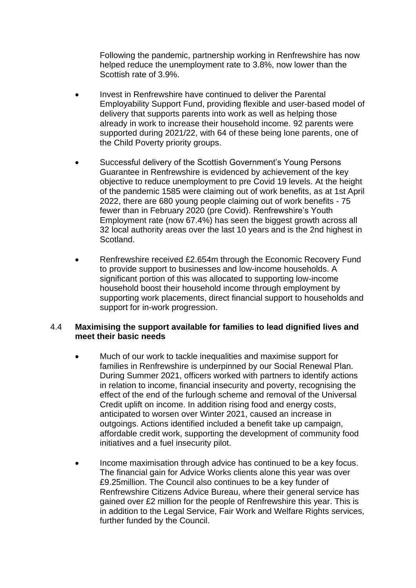Following the pandemic, partnership working in Renfrewshire has now helped reduce the unemployment rate to 3.8%, now lower than the Scottish rate of 3.9%.

- Invest in Renfrewshire have continued to deliver the Parental Employability Support Fund, providing flexible and user-based model of delivery that supports parents into work as well as helping those already in work to increase their household income. 92 parents were supported during 2021/22, with 64 of these being lone parents, one of the Child Poverty priority groups.
- Successful delivery of the Scottish Government's Young Persons Guarantee in Renfrewshire is evidenced by achievement of the key objective to reduce unemployment to pre Covid 19 levels. At the height of the pandemic 1585 were claiming out of work benefits, as at 1st April 2022, there are 680 young people claiming out of work benefits - 75 fewer than in February 2020 (pre Covid). Renfrewshire's Youth Employment rate (now 67.4%) has seen the biggest growth across all 32 local authority areas over the last 10 years and is the 2nd highest in Scotland.
- Renfrewshire received £2.654m through the Economic Recovery Fund to provide support to businesses and low-income households. A significant portion of this was allocated to supporting low-income household boost their household income through employment by supporting work placements, direct financial support to households and support for in-work progression.

## 4.4 **Maximising the support available for families to lead dignified lives and meet their basic needs**

- Much of our work to tackle inequalities and maximise support for families in Renfrewshire is underpinned by our Social Renewal Plan. During Summer 2021, officers worked with partners to identify actions in relation to income, financial insecurity and poverty, recognising the effect of the end of the furlough scheme and removal of the Universal Credit uplift on income. In addition rising food and energy costs, anticipated to worsen over Winter 2021, caused an increase in outgoings. Actions identified included a benefit take up campaign, affordable credit work, supporting the development of community food initiatives and a fuel insecurity pilot.
- Income maximisation through advice has continued to be a key focus. The financial gain for Advice Works clients alone this year was over £9.25million. The Council also continues to be a key funder of Renfrewshire Citizens Advice Bureau, where their general service has gained over £2 million for the people of Renfrewshire this year. This is in addition to the Legal Service, Fair Work and Welfare Rights services, further funded by the Council.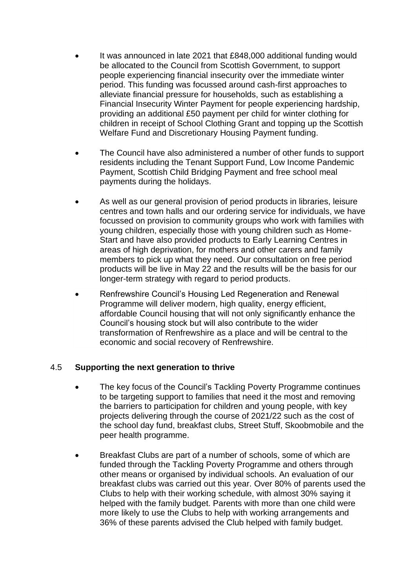- It was announced in late 2021 that £848,000 additional funding would be allocated to the Council from Scottish Government, to support people experiencing financial insecurity over the immediate winter period. This funding was focussed around cash-first approaches to alleviate financial pressure for households, such as establishing a Financial Insecurity Winter Payment for people experiencing hardship, providing an additional £50 payment per child for winter clothing for children in receipt of School Clothing Grant and topping up the Scottish Welfare Fund and Discretionary Housing Payment funding.
- The Council have also administered a number of other funds to support residents including the Tenant Support Fund, Low Income Pandemic Payment, Scottish Child Bridging Payment and free school meal payments during the holidays.
- As well as our general provision of period products in libraries, leisure centres and town halls and our ordering service for individuals, we have focussed on provision to community groups who work with families with young children, especially those with young children such as Home-Start and have also provided products to Early Learning Centres in areas of high deprivation, for mothers and other carers and family members to pick up what they need. Our consultation on free period products will be live in May 22 and the results will be the basis for our longer-term strategy with regard to period products.
- Renfrewshire Council's Housing Led Regeneration and Renewal Programme will deliver modern, high quality, energy efficient, affordable Council housing that will not only significantly enhance the Council's housing stock but will also contribute to the wider transformation of Renfrewshire as a place and will be central to the economic and social recovery of Renfrewshire.

## 4.5 **Supporting the next generation to thrive**

- The key focus of the Council's Tackling Poverty Programme continues to be targeting support to families that need it the most and removing the barriers to participation for children and young people, with key projects delivering through the course of 2021/22 such as the cost of the school day fund, breakfast clubs, Street Stuff, Skoobmobile and the peer health programme.
- Breakfast Clubs are part of a number of schools, some of which are funded through the Tackling Poverty Programme and others through other means or organised by individual schools. An evaluation of our breakfast clubs was carried out this year. Over 80% of parents used the Clubs to help with their working schedule, with almost 30% saying it helped with the family budget. Parents with more than one child were more likely to use the Clubs to help with working arrangements and 36% of these parents advised the Club helped with family budget.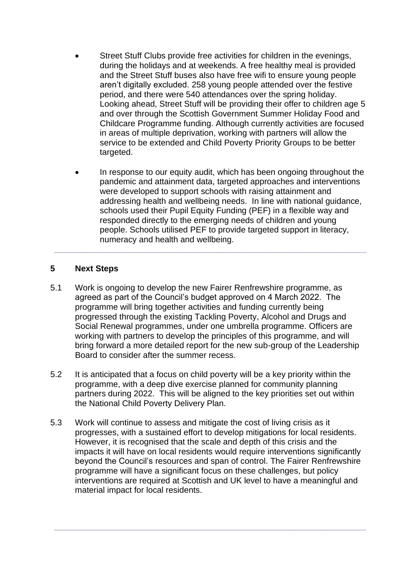- Street Stuff Clubs provide free activities for children in the evenings, during the holidays and at weekends. A free healthy meal is provided and the Street Stuff buses also have free wifi to ensure young people aren't digitally excluded. 258 young people attended over the festive period, and there were 540 attendances over the spring holiday. Looking ahead, Street Stuff will be providing their offer to children age 5 and over through the Scottish Government Summer Holiday Food and Childcare Programme funding. Although currently activities are focused in areas of multiple deprivation, working with partners will allow the service to be extended and Child Poverty Priority Groups to be better targeted.
- In response to our equity audit, which has been ongoing throughout the pandemic and attainment data, targeted approaches and interventions were developed to support schools with raising attainment and addressing health and wellbeing needs. In line with national guidance, schools used their Pupil Equity Funding (PEF) in a flexible way and responded directly to the emerging needs of children and young people. Schools utilised PEF to provide targeted support in literacy, numeracy and health and wellbeing.

**\_\_\_\_\_\_\_\_\_\_\_\_\_\_\_\_\_\_\_\_\_\_\_\_\_\_\_\_\_\_\_\_\_\_\_\_\_\_\_\_\_\_\_\_\_\_\_\_\_\_\_\_\_\_\_\_\_\_\_\_\_\_\_\_\_\_\_**

# **5 Next Steps**

- 5.1 Work is ongoing to develop the new Fairer Renfrewshire programme, as agreed as part of the Council's budget approved on 4 March 2022. The programme will bring together activities and funding currently being progressed through the existing Tackling Poverty, Alcohol and Drugs and Social Renewal programmes, under one umbrella programme. Officers are working with partners to develop the principles of this programme, and will bring forward a more detailed report for the new sub-group of the Leadership Board to consider after the summer recess.
- 5.2 It is anticipated that a focus on child poverty will be a key priority within the programme, with a deep dive exercise planned for community planning partners during 2022. This will be aligned to the key priorities set out within the National Child Poverty Delivery Plan.
- 5.3 Work will continue to assess and mitigate the cost of living crisis as it progresses, with a sustained effort to develop mitigations for local residents. However, it is recognised that the scale and depth of this crisis and the impacts it will have on local residents would require interventions significantly beyond the Council's resources and span of control. The Fairer Renfrewshire programme will have a significant focus on these challenges, but policy interventions are required at Scottish and UK level to have a meaningful and material impact for local residents.

**\_\_\_\_\_\_\_\_\_\_\_\_\_\_\_\_\_\_\_\_\_\_\_\_\_\_\_\_\_\_\_\_\_\_\_\_\_\_\_\_\_\_\_\_\_\_\_\_\_\_\_\_\_\_\_\_\_\_\_\_\_\_\_\_\_\_\_**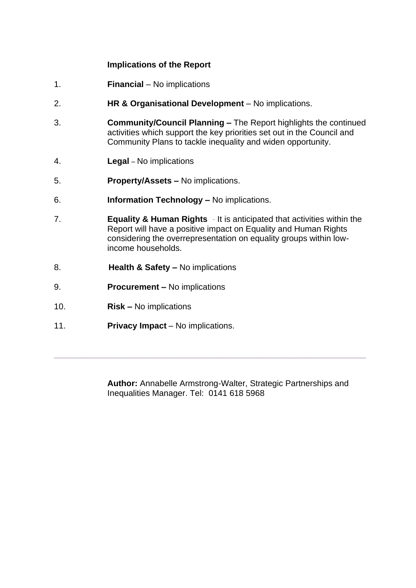### **Implications of the Report**

- 1. **Financial**  No implications
- 2. **HR & Organisational Development** No implications.
- 3. **Community/Council Planning –** The Report highlights the continued activities which support the key priorities set out in the Council and Community Plans to tackle inequality and widen opportunity.
- 4. **Legal** *–* No implications
- 5. **Property/Assets –** No implications.
- 6. **Information Technology –** No implications.
- 7. **Equality & Human Rights** *-* It is anticipated that activities within the Report will have a positive impact on Equality and Human Rights considering the overrepresentation on equality groups within lowincome households.
- 8. **Health & Safety –** No implications
- 9. **Procurement –** No implications
- 10. **Risk –** No implications
- 11. **Privacy Impact** No implications.

**Author:** Annabelle Armstrong-Walter, Strategic Partnerships and Inequalities Manager. Tel: 0141 618 5968

**\_\_\_\_\_\_\_\_\_\_\_\_\_\_\_\_\_\_\_\_\_\_\_\_\_\_\_\_\_\_\_\_\_\_\_\_\_\_\_\_\_\_\_\_\_\_\_\_\_\_\_\_\_\_\_\_\_\_\_\_\_\_\_\_\_\_\_**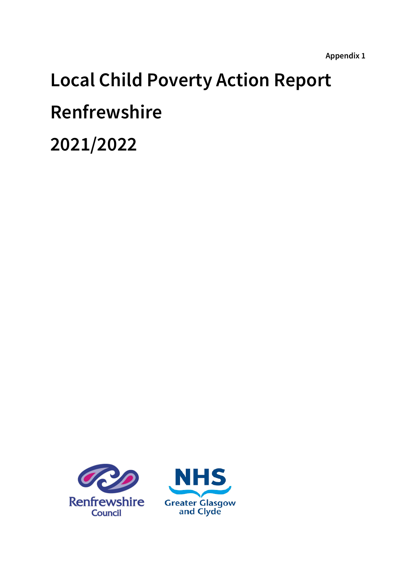# **Local Child Poverty Action Report Renfrewshire 2021/2022**



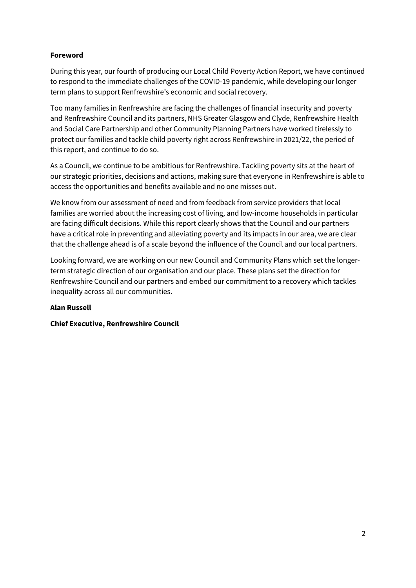### **Foreword**

During this year, our fourth of producing our Local Child Poverty Action Report, we have continued to respond to the immediate challenges of the COVID-19 pandemic, while developing our longer term plans to support Renfrewshire's economic and social recovery.

Too many families in Renfrewshire are facing the challenges of financial insecurity and poverty and Renfrewshire Council and its partners, NHS Greater Glasgow and Clyde, Renfrewshire Health and Social Care Partnership and other Community Planning Partners have worked tirelessly to protect our families and tackle child poverty right across Renfrewshire in 2021/22, the period of this report, and continue to do so.

As a Council, we continue to be ambitious for Renfrewshire. Tackling poverty sits at the heart of our strategic priorities, decisions and actions, making sure that everyone in Renfrewshire is able to access the opportunities and benefits available and no one misses out.

We know from our assessment of need and from feedback from service providers that local families are worried about the increasing cost of living, and low-income households in particular are facing difficult decisions. While this report clearly shows that the Council and our partners have a critical role in preventing and alleviating poverty and its impacts in our area, we are clear that the challenge ahead is of a scale beyond the influence of the Council and our local partners.

Looking forward, we are working on our new Council and Community Plans which set the longerterm strategic direction of our organisation and our place. These plans set the direction for Renfrewshire Council and our partners and embed our commitment to a recovery which tackles inequality across all our communities.

### **Alan Russell**

### **Chief Executive, Renfrewshire Council**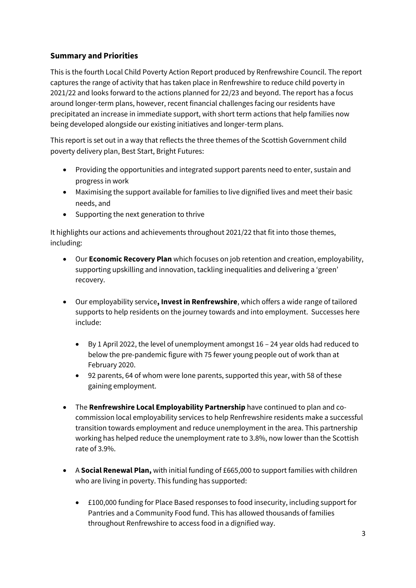# **Summary and Priorities**

This is the fourth Local Child Poverty Action Report produced by Renfrewshire Council. The report captures the range of activity that has taken place in Renfrewshire to reduce child poverty in 2021/22 and looks forward to the actions planned for 22/23 and beyond. The report has a focus around longer-term plans, however, recent financial challenges facing our residents have precipitated an increase in immediate support, with short term actions that help families now being developed alongside our existing initiatives and longer-term plans.

This report is set out in a way that reflects the three themes of the Scottish Government child poverty delivery plan, Best Start, Bright Futures:

- Providing the opportunities and integrated support parents need to enter, sustain and progress in work
- Maximising the support available for families to live dignified lives and meet their basic needs, and
- Supporting the next generation to thrive

It highlights our actions and achievements throughout 2021/22 that fit into those themes, including:

- Our **Economic Recovery Plan** which focuses on job retention and creation, employability, supporting upskilling and innovation, tackling inequalities and delivering a 'green' recovery.
- Our employability service**, Invest in Renfrewshire**, which offers a wide range of tailored supports to help residents on the journey towards and into employment. Successes here include:
	- By 1 April 2022, the level of unemployment amongst 16 24 year olds had reduced to below the pre-pandemic figure with 75 fewer young people out of work than at February 2020.
	- 92 parents, 64 of whom were lone parents, supported this year, with 58 of these gaining employment.
- The **Renfrewshire Local Employability Partnership** have continued to plan and cocommission local employability services to help Renfrewshire residents make a successful transition towards employment and reduce unemployment in the area. This partnership working has helped reduce the unemployment rate to 3.8%, now lower than the Scottish rate of 3.9%.
- A **Social Renewal Plan,** with initial funding of £665,000 to support families with children who are living in poverty. This funding has supported:
	- £100,000 funding for Place Based responses to food insecurity, including support for Pantries and a Community Food fund. This has allowed thousands of families throughout Renfrewshire to access food in a dignified way.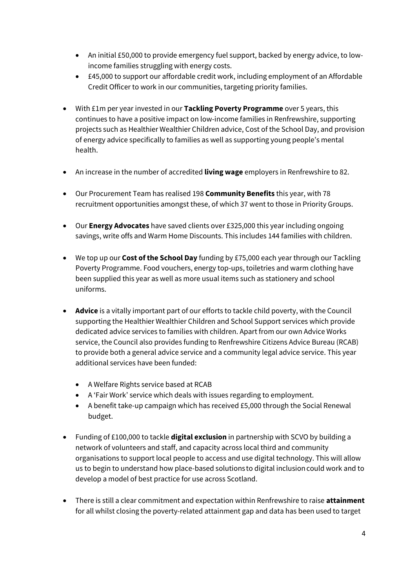- An initial £50,000 to provide emergency fuel support, backed by energy advice, to lowincome families struggling with energy costs.
- £45,000 to support our affordable credit work, including employment of an Affordable Credit Officer to work in our communities, targeting priority families.
- With £1m per year invested in our **Tackling Poverty Programme** over 5 years, this continues to have a positive impact on low-income families in Renfrewshire, supporting projects such as Healthier Wealthier Children advice, Cost of the School Day, and provision of energy advice specifically to families as well as supporting young people's mental health.
- An increase in the number of accredited **living wage** employers in Renfrewshire to 82.
- Our Procurement Team has realised 198 **Community Benefits** this year, with 78 recruitment opportunities amongst these, of which 37 went to those in Priority Groups.
- Our **Energy Advocates** have saved clients over £325,000 this year including ongoing savings, write offs and Warm Home Discounts. This includes 144 families with children.
- We top up our **Cost of the School Day** funding by £75,000 each year through our Tackling Poverty Programme. Food vouchers, energy top-ups, toiletries and warm clothing have been supplied this year as well as more usual items such as stationery and school uniforms.
- **Advice** is a vitally important part of our efforts to tackle child poverty, with the Council supporting the Healthier Wealthier Children and School Support services which provide dedicated advice services to families with children. Apart from our own Advice Works service, the Council also provides funding to Renfrewshire Citizens Advice Bureau (RCAB) to provide both a general advice service and a community legal advice service. This year additional services have been funded:
	- A Welfare Rights service based at RCAB
	- A 'Fair Work' service which deals with issues regarding to employment.
	- A benefit take-up campaign which has received £5,000 through the Social Renewal budget.
- Funding of £100,000 to tackle **digital exclusion** in partnership with SCVO by building a network of volunteers and staff, and capacity across local third and community organisations to support local people to access and use digital technology. This will allow us to begin to understand how place-based solutions to digital inclusion could work and to develop a model of best practice for use across Scotland.
- There is still a clear commitment and expectation within Renfrewshire to raise **attainment**  for all whilst closing the poverty-related attainment gap and data has been used to target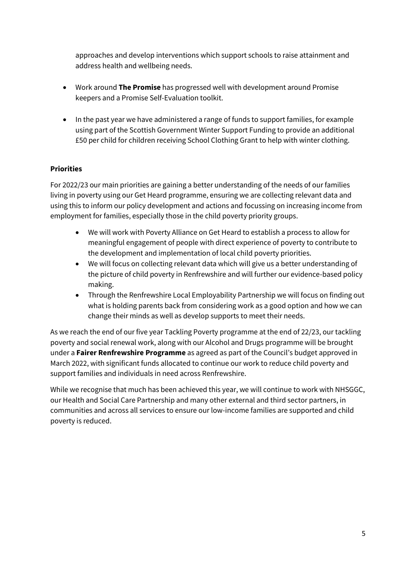approaches and develop interventions which support schools to raise attainment and address health and wellbeing needs.

- Work around **The Promise** has progressed well with development around Promise keepers and a Promise Self-Evaluation toolkit.
- In the past year we have administered a range of funds to support families, for example using part of the Scottish Government Winter Support Funding to provide an additional £50 per child for children receiving School Clothing Grant to help with winter clothing.

# **Priorities**

For 2022/23 our main priorities are gaining a better understanding of the needs of our families living in poverty using our Get Heard programme, ensuring we are collecting relevant data and using this to inform our policy development and actions and focussing on increasing income from employment for families, especially those in the child poverty priority groups.

- We will work with Poverty Alliance on Get Heard to establish a process to allow for meaningful engagement of people with direct experience of poverty to contribute to the development and implementation of local child poverty priorities.
- We will focus on collecting relevant data which will give us a better understanding of the picture of child poverty in Renfrewshire and will further our evidence-based policy making.
- Through the Renfrewshire Local Employability Partnership we will focus on finding out what is holding parents back from considering work as a good option and how we can change their minds as well as develop supports to meet their needs.

As we reach the end of our five year Tackling Poverty programme at the end of 22/23, our tackling poverty and social renewal work, along with our Alcohol and Drugs programme will be brought under a **Fairer Renfrewshire Programme** as agreed as part of the Council's budget approved in March 2022, with significant funds allocated to continue our work to reduce child poverty and support families and individuals in need across Renfrewshire.

While we recognise that much has been achieved this year, we will continue to work with NHSGGC, our Health and Social Care Partnership and many other external and third sector partners, in communities and across all services to ensure our low-income families are supported and child poverty is reduced.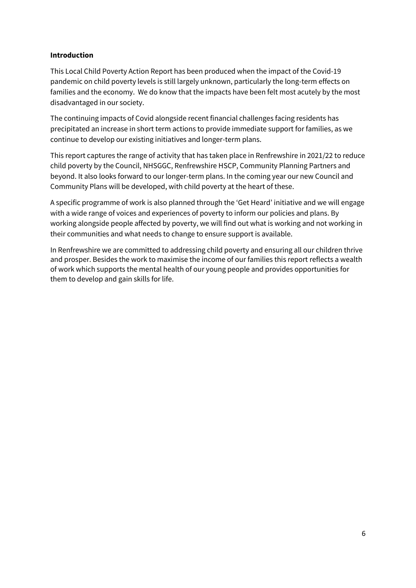### **Introduction**

This Local Child Poverty Action Report has been produced when the impact of the Covid-19 pandemic on child poverty levels is still largely unknown, particularly the long-term effects on families and the economy. We do know that the impacts have been felt most acutely by the most disadvantaged in our society.

The continuing impacts of Covid alongside recent financial challenges facing residents has precipitated an increase in short term actions to provide immediate support for families, as we continue to develop our existing initiatives and longer-term plans.

This report captures the range of activity that has taken place in Renfrewshire in 2021/22 to reduce child poverty by the Council, NHSGGC, Renfrewshire HSCP, Community Planning Partners and beyond. It also looks forward to our longer-term plans. In the coming year our new Council and Community Plans will be developed, with child poverty at the heart of these.

A specific programme of work is also planned through the 'Get Heard' initiative and we will engage with a wide range of voices and experiences of poverty to inform our policies and plans. By working alongside people affected by poverty, we will find out what is working and not working in their communities and what needs to change to ensure support is available.

In Renfrewshire we are committed to addressing child poverty and ensuring all our children thrive and prosper. Besides the work to maximise the income of our families this report reflects a wealth of work which supports the mental health of our young people and provides opportunities for them to develop and gain skills for life.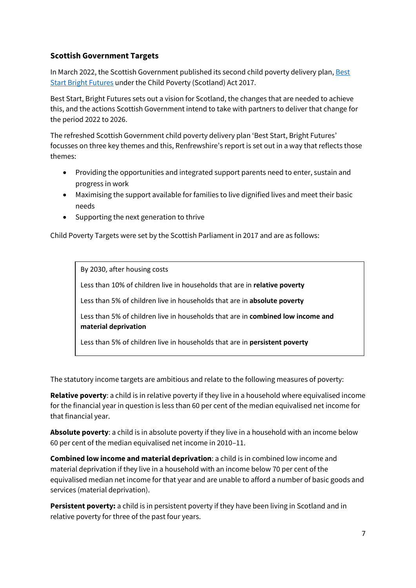# **Scottish Government Targets**

In March 2022, the Scottish Government published its second child poverty delivery plan, Best [Start Bright Futures](https://www.gov.scot/publications/best-start-bright-futures-tackling-child-poverty-delivery-plan-2022-26/pages/3/) under the Child Poverty (Scotland) Act 2017.

Best Start, Bright Futures sets out a vision for Scotland, the changes that are needed to achieve this, and the actions Scottish Government intend to take with partners to deliver that change for the period 2022 to 2026.

The refreshed Scottish Government child poverty delivery plan 'Best Start, Bright Futures' focusses on three key themes and this, Renfrewshire's report is set out in a way that reflects those themes:

- Providing the opportunities and integrated support parents need to enter, sustain and progress in work
- Maximising the support available for families to live dignified lives and meet their basic needs
- Supporting the next generation to thrive

Child Poverty Targets were set by the Scottish Parliament in 2017 and are as follows:

By 2030, after housing costs

Less than 10% of children live in households that are in **relative poverty**

Less than 5% of children live in households that are in **absolute poverty**

Less than 5% of children live in households that are in **combined low income and material deprivation**

Less than 5% of children live in households that are in **persistent poverty**

The statutory income targets are ambitious and relate to the following measures of poverty:

**Relative poverty**: a child is in relative poverty if they live in a household where equivalised income for the financial year in question is less than 60 per cent of the median equivalised net income for that financial year.

**Absolute poverty**: a child is in absolute poverty if they live in a household with an income below 60 per cent of the median equivalised net income in 2010–11.

**Combined low income and material deprivation**: a child is in combined low income and material deprivation if they live in a household with an income below 70 per cent of the equivalised median net income for that year and are unable to afford a number of basic goods and services (material deprivation).

**Persistent poverty:** a child is in persistent poverty if they have been living in Scotland and in relative poverty for three of the past four years.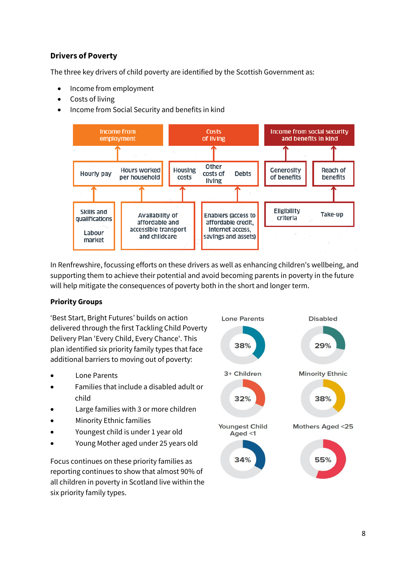# **Drivers of Poverty**

The three key drivers of child poverty are identified by the Scottish Government as:

- Income from employment
- Costs of living
- Income from Social Security and benefits in kind



In Renfrewshire, focussing efforts on these drivers as well as enhancing children's wellbeing, and supporting them to achieve their potential and avoid becoming parents in poverty in the future will help mitigate the consequences of poverty both in the short and longer term.

## **Priority Groups**

'Best Start, Bright Futures' builds on action delivered through the first Tackling Child Poverty Delivery Plan 'Every Child, Every Chance'. This plan identified six priority family types that face additional barriers to moving out of poverty:

- Lone Parents
- Families that include a disabled adult or child
- Large families with 3 or more children
- **Minority Ethnic families**
- Youngest child is under 1 year old
- Young Mother aged under 25 years old

Focus continues on these priority families as reporting continues to show that almost 90% of all children in poverty in Scotland live within the six priority family types.

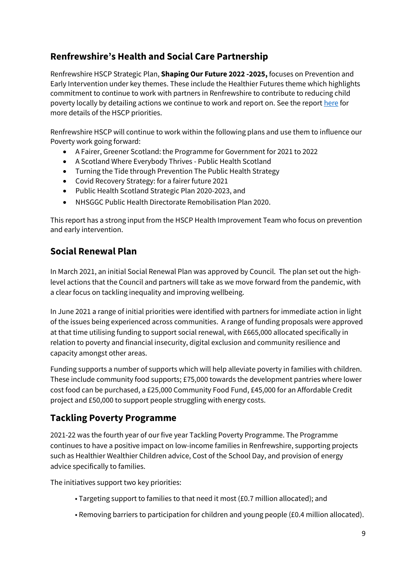# **Renfrewshire's Health and Social Care Partnership**

Renfrewshire HSCP Strategic Plan, **Shaping Our Future 2022 -2025,** focuses on Prevention and Early Intervention under key themes. These include the Healthier Futures theme which highlights commitment to continue to work with partners in Renfrewshire to contribute to reducing child poverty locally by detailing actions we continue to work and report on. See the repor[t here](https://www.renfrewshire.hscp.scot/article/12058/Shaping-our-Future---Strategic-Plan-2022-25) for more details of the HSCP priorities.

Renfrewshire HSCP will continue to work within the following plans and use them to influence our Poverty work going forward:

- A Fairer, Greener Scotland: the Programme for Government for 2021 to 2022
- A Scotland Where Everybody Thrives Public Health Scotland
- Turning the Tide through Prevention The Public Health Strategy
- Covid Recovery Strategy: for a fairer future 2021
- Public Health Scotland Strategic Plan 2020-2023, and
- NHSGGC Public Health Directorate Remobilisation Plan 2020.

This report has a strong input from the HSCP Health Improvement Team who focus on prevention and early intervention.

# **Social Renewal Plan**

In March 2021, an initial Social Renewal Plan was approved by Council. The plan set out the highlevel actions that the Council and partners will take as we move forward from the pandemic, with a clear focus on tackling inequality and improving wellbeing.

In June 2021 a range of initial priorities were identified with partners for immediate action in light of the issues being experienced across communities. A range of funding proposals were approved at that time utilising funding to support social renewal, with £665,000 allocated specifically in relation to poverty and financial insecurity, digital exclusion and community resilience and capacity amongst other areas.

Funding supports a number of supports which will help alleviate poverty in families with children. These include community food supports; £75,000 towards the development pantries where lower cost food can be purchased, a £25,000 Community Food Fund, £45,000 for an Affordable Credit project and £50,000 to support people struggling with energy costs.

# **Tackling Poverty Programme**

2021-22 was the fourth year of our five year Tackling Poverty Programme. The Programme continues to have a positive impact on low-income families in Renfrewshire, supporting projects such as Healthier Wealthier Children advice, Cost of the School Day, and provision of energy advice specifically to families.

The initiatives support two key priorities:

- Targeting support to families to that need it most (£0.7 million allocated); and
- Removing barriers to participation for children and young people (£0.4 million allocated).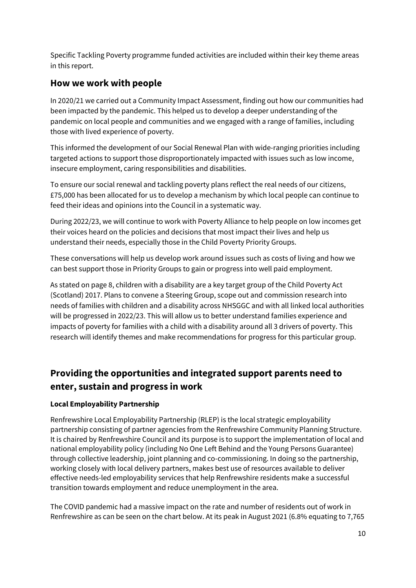Specific Tackling Poverty programme funded activities are included within their key theme areas in this report.

# **How we work with people**

In 2020/21 we carried out a Community Impact Assessment, finding out how our communities had been impacted by the pandemic. This helped us to develop a deeper understanding of the pandemic on local people and communities and we engaged with a range of families, including those with lived experience of poverty.

This informed the development of our Social Renewal Plan with wide-ranging priorities including targeted actions to support those disproportionately impacted with issues such as low income, insecure employment, caring responsibilities and disabilities.

To ensure our social renewal and tackling poverty plans reflect the real needs of our citizens, £75,000 has been allocated for us to develop a mechanism by which local people can continue to feed their ideas and opinions into the Council in a systematic way.

During 2022/23, we will continue to work with Poverty Alliance to help people on low incomes get their voices heard on the policies and decisions that most impact their lives and help us understand their needs, especially those in the Child Poverty Priority Groups.

These conversations will help us develop work around issues such as costs of living and how we can best support those in Priority Groups to gain or progress into well paid employment.

As stated on page 8, children with a disability are a key target group of the Child Poverty Act (Scotland) 2017. Plans to convene a Steering Group, scope out and commission research into needs of families with children and a disability across NHSGGC and with all linked local authorities will be progressed in 2022/23. This will allow us to better understand families experience and impacts of poverty for families with a child with a disability around all 3 drivers of poverty. This research will identify themes and make recommendations for progress for this particular group.

# **Providing the opportunities and integrated support parents need to enter, sustain and progress in work**

## **Local Employability Partnership**

Renfrewshire Local Employability Partnership (RLEP) is the local strategic employability partnership consisting of partner agencies from the Renfrewshire Community Planning Structure. It is chaired by Renfrewshire Council and its purpose is to support the implementation of local and national employability policy (including No One Left Behind and the Young Persons Guarantee) through collective leadership, joint planning and co-commissioning. In doing so the partnership, working closely with local delivery partners, makes best use of resources available to deliver effective needs-led employability services that help Renfrewshire residents make a successful transition towards employment and reduce unemployment in the area.

The COVID pandemic had a massive impact on the rate and number of residents out of work in Renfrewshire as can be seen on the chart below. At its peak in August 2021 (6.8% equating to 7,765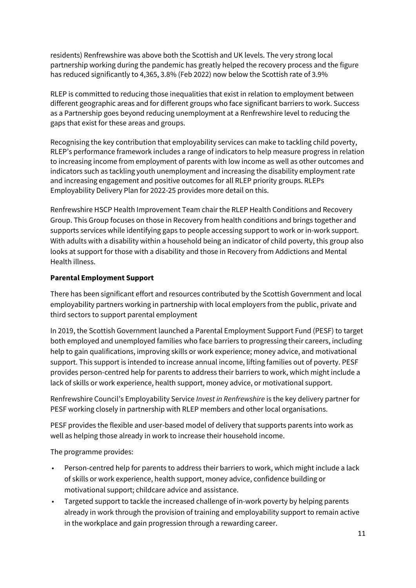residents) Renfrewshire was above both the Scottish and UK levels. The very strong local partnership working during the pandemic has greatly helped the recovery process and the figure has reduced significantly to 4,365, 3.8% (Feb 2022) now below the Scottish rate of 3.9%

RLEP is committed to reducing those inequalities that exist in relation to employment between different geographic areas and for different groups who face significant barriers to work. Success as a Partnership goes beyond reducing unemployment at a Renfrewshire level to reducing the gaps that exist for these areas and groups.

Recognising the key contribution that employability services can make to tackling child poverty, RLEP's performance framework includes a range of indicators to help measure progress in relation to increasing income from employment of parents with low income as well as other outcomes and indicators such as tackling youth unemployment and increasing the disability employment rate and increasing engagement and positive outcomes for all RLEP priority groups. RLEPs Employability Delivery Plan for 2022-25 provides more detail on this.

Renfrewshire HSCP Health Improvement Team chair the RLEP Health Conditions and Recovery Group. This Group focuses on those in Recovery from health conditions and brings together and supports services while identifying gaps to people accessing support to work or in-work support. With adults with a disability within a household being an indicator of child poverty, this group also looks at support for those with a disability and those in Recovery from Addictions and Mental Health illness.

## **Parental Employment Support**

There has been significant effort and resources contributed by the Scottish Government and local employability partners working in partnership with local employers from the public, private and third sectors to support parental employment

In 2019, the Scottish Government launched a Parental Employment Support Fund (PESF) to target both employed and unemployed families who face barriers to progressing their careers, including help to gain qualifications, improving skills or work experience; money advice, and motivational support. This support is intended to increase annual income, lifting families out of poverty. PESF provides person-centred help for parents to address their barriers to work, which might include a lack of skills or work experience, health support, money advice, or motivational support.

Renfrewshire Council's Employability Service *Invest in Renfrewshire* is the key delivery partner for PESF working closely in partnership with RLEP members and other local organisations.

PESF provides the flexible and user-based model of delivery that supports parents into work as well as helping those already in work to increase their household income.

The programme provides:

- Person-centred help for parents to address their barriers to work, which might include a lack of skills or work experience, health support, money advice, confidence building or motivational support; childcare advice and assistance.
- Targeted support to tackle the increased challenge of in-work poverty by helping parents already in work through the provision of training and employability support to remain active in the workplace and gain progression through a rewarding career.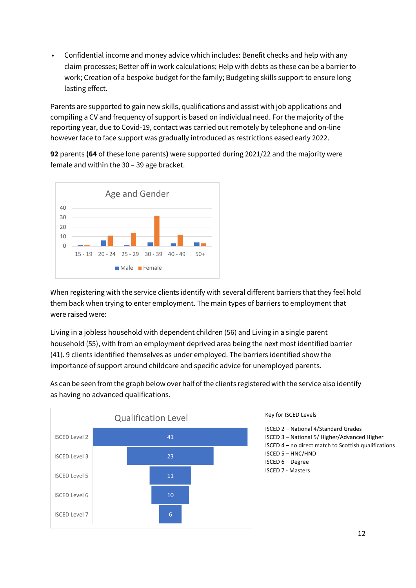• Confidential income and money advice which includes: Benefit checks and help with any claim processes; Better off in work calculations; Help with debts as these can be a barrier to work; Creation of a bespoke budget for the family; Budgeting skills support to ensure long lasting effect.

Parents are supported to gain new skills, qualifications and assist with job applications and compiling a CV and frequency of support is based on individual need. For the majority of the reporting year, due to Covid-19, contact was carried out remotely by telephone and on-line however face to face support was gradually introduced as restrictions eased early 2022.

**92** parents **(64** of these lone parents**)** were supported during 2021/22 and the majority were female and within the 30 – 39 age bracket.



When registering with the service clients identify with several different barriers that they feel hold them back when trying to enter employment. The main types of barriers to employment that were raised were:

Living in a jobless household with dependent children (56) and Living in a single parent household (55), with from an employment deprived area being the next most identified barrier (41). 9 clients identified themselves as under employed. The barriers identified show the importance of support around childcare and specific advice for unemployed parents.

As can be seen from the graph below over half of the clients registered with the service also identify as having no advanced qualifications.



#### Key for ISCED Levels

ISCED 2 – National 4/Standard Grades ISCED 3 – National 5/ Higher/Advanced Higher ISCED 4 – no direct match to Scottish qualifications ISCED 5 – HNC/HND ISCED 6 – Degree ISCED 7 - Masters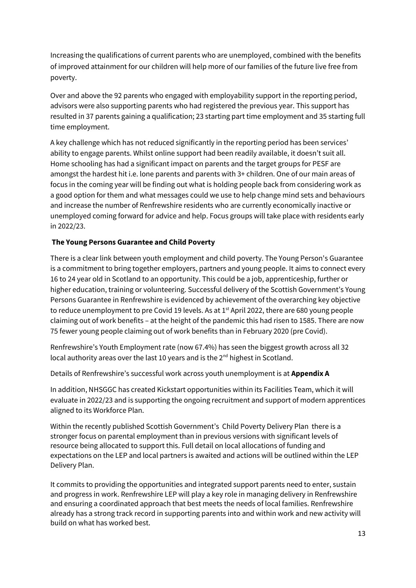Increasing the qualifications of current parents who are unemployed, combined with the benefits of improved attainment for our children will help more of our families of the future live free from poverty.

Over and above the 92 parents who engaged with employability support in the reporting period, advisors were also supporting parents who had registered the previous year. This support has resulted in 37 parents gaining a qualification; 23 starting part time employment and 35 starting full time employment.

A key challenge which has not reduced significantly in the reporting period has been services' ability to engage parents. Whilst online support had been readily available, it doesn't suit all. Home schooling has had a significant impact on parents and the target groups for PESF are amongst the hardest hit i.e. lone parents and parents with 3+ children. One of our main areas of focus in the coming year will be finding out what is holding people back from considering work as a good option for them and what messages could we use to help change mind sets and behaviours and increase the number of Renfrewshire residents who are currently economically inactive or unemployed coming forward for advice and help. Focus groups will take place with residents early in 2022/23.

## **The Young Persons Guarantee and Child Poverty**

There is a clear link between youth employment and child poverty. The Young Person's Guarantee is a commitment to bring together employers, partners and young people. It aims to connect every 16 to 24 year old in Scotland to an opportunity. This could be a job, apprenticeship, further or higher education, training or volunteering. Successful delivery of the Scottish Government's Young Persons Guarantee in Renfrewshire is evidenced by achievement of the overarching key objective to reduce unemployment to pre Covid 19 levels. As at 1<sup>st</sup> April 2022, there are 680 young people claiming out of work benefits – at the height of the pandemic this had risen to 1585. There are now 75 fewer young people claiming out of work benefits than in February 2020 (pre Covid).

Renfrewshire's Youth Employment rate (now 67.4%) has seen the biggest growth across all 32 local authority areas over the last 10 years and is the 2<sup>nd</sup> highest in Scotland.

Details of Renfrewshire's successful work across youth unemployment is at **Appendix A**

In addition, NHSGGC has created Kickstart opportunities within its Facilities Team, which it will evaluate in 2022/23 and is supporting the ongoing recruitment and support of modern apprentices aligned to its Workforce Plan.

Within the recently published Scottish Government's [Child Poverty Delivery Plan](https://www.gov.scot/binaries/content/documents/govscot/publications/strategy-plan/2022/03/best-start-bright-futures-tackling-child-poverty-delivery-plan-2022-26/documents/best-start-bright-futures-tackling-child-poverty-delivery-plan-2022-2026/best-start-bright-futures-tackling-child-poverty-delivery-plan-2022-2026/govscot%3Adocument/best-start-bright-futures-tackling-child-poverty-delivery-plan-2022-2026.pdf?forceDownload=true) there is a stronger focus on parental employment than in previous versions with significant levels of resource being allocated to support this. Full detail on local allocations of funding and expectations on the LEP and local partners is awaited and actions will be outlined within the LEP Delivery Plan.

It commits to providing the opportunities and integrated support parents need to enter, sustain and progress in work. Renfrewshire LEP will play a key role in managing delivery in Renfrewshire and ensuring a coordinated approach that best meets the needs of local families. Renfrewshire already has a strong track record in supporting parents into and within work and new activity will build on what has worked best.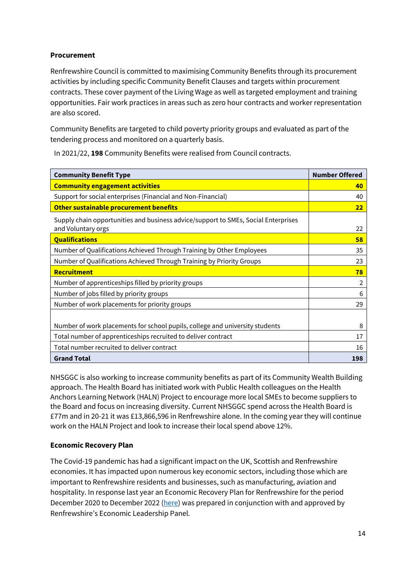### **Procurement**

Renfrewshire Council is committed to maximising Community Benefits through its procurement activities by including specific Community Benefit Clauses and targets within procurement contracts. These cover payment of the Living Wage as well as targeted employment and training opportunities. Fair work practices in areas such as zero hour contracts and worker representation are also scored.

Community Benefits are targeted to child poverty priority groups and evaluated as part of the tendering process and monitored on a quarterly basis.

In 2021/22, **198** Community Benefits were realised from Council contracts.

| <b>Community Benefit Type</b>                                                                            | <b>Number Offered</b> |
|----------------------------------------------------------------------------------------------------------|-----------------------|
| <b>Community engagement activities</b>                                                                   | 40                    |
| Support for social enterprises (Financial and Non-Financial)                                             | 40                    |
| Other sustainable procurement benefits                                                                   | 22                    |
| Supply chain opportunities and business advice/support to SMEs, Social Enterprises<br>and Voluntary orgs | 22                    |
| <b>Qualifications</b>                                                                                    | 58                    |
| Number of Qualifications Achieved Through Training by Other Employees                                    | 35                    |
| Number of Qualifications Achieved Through Training by Priority Groups                                    | 23                    |
| Recruitment                                                                                              | 78                    |
| Number of apprenticeships filled by priority groups                                                      | 2                     |
| Number of jobs filled by priority groups                                                                 | 6                     |
| Number of work placements for priority groups                                                            | 29                    |
|                                                                                                          |                       |
| Number of work placements for school pupils, college and university students                             | 8                     |
| Total number of apprenticeships recruited to deliver contract                                            | 17                    |
| Total number recruited to deliver contract                                                               | 16                    |
| <b>Grand Total</b>                                                                                       | 198                   |

NHSGGC is also working to increase community benefits as part of its Community Wealth Building approach. The Health Board has initiated work with Public Health colleagues on the Health Anchors Learning Network (HALN) Project to encourage more local SMEs to become suppliers to the Board and focus on increasing diversity. Current NHSGGC spend across the Health Board is £77m and in 20-21 it was £13,866,596 in Renfrewshire alone. In the coming year they will continue work on the HALN Project and look to increase their local spend above 12%.

### **Economic Recovery Plan**

The Covid-19 pandemic has had a significant impact on the UK, Scottish and Renfrewshire economies. It has impacted upon numerous key economic sectors, including those which are important to Renfrewshire residents and businesses, such as manufacturing, aviation and hospitality. In response last year an Economic Recovery Plan for Renfrewshire for the period December 2020 to December 2022 [\(here\)](https://renfrewshire.cmis.uk.com/renfrewshire/Document.ashx?czJKcaeAi5tUFL1DTL2UE4zNRBcoShgo=vrq4miATatRjbvMScy2plhANz3Mo0tTFHi0qwu%2byHYPpC00Fh7%2bhtw%3d%3d&rUzwRPf%2bZ3zd4E7Ikn8Lyw%3d%3d=pwRE6AGJFLDNlh225F5QMaQWCtPHwdhUfCZ%2fLUQzgA2uL5jNRG4jdQ%3d%3d&mCTIbCubSFfXsDGW9IXnlg%3d%3d=hFflUdN3100%3d&kCx1AnS9%2fpWZQ40DXFvdEw%3d%3d=hFflUdN3100%3d&uJovDxwdjMPoYv%2bAJvYtyA%3d%3d=ctNJFf55vVA%3d&FgPlIEJYlotS%2bYGoBi5olA%3d%3d=NHdURQburHA%3d&d9Qjj0ag1Pd993jsyOJqFvmyB7X0CSQK=ctNJFf55vVA%3d&WGewmoAfeNR9xqBux0r1Q8Za60lavYmz=ctNJFf55vVA%3d&WGewmoAfeNQ16B2MHuCpMRKZMwaG1PaO=ctNJFf55vVA%3d) was prepared in conjunction with and approved by Renfrewshire's Economic Leadership Panel.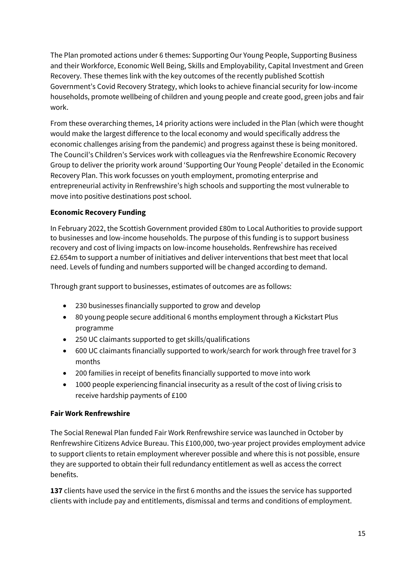The Plan promoted actions under 6 themes: Supporting Our Young People, Supporting Business and their Workforce, Economic Well Being, Skills and Employability, Capital Investment and Green Recovery. These themes link with the key outcomes of the recently published Scottish Government's Covid Recovery Strategy, which looks to achieve financial security for low-income households, promote wellbeing of children and young people and create good, green jobs and fair work.

From these overarching themes, 14 priority actions were included in the Plan (which were thought would make the largest difference to the local economy and would specifically address the economic challenges arising from the pandemic) and progress against these is being monitored. The Council's Children's Services work with colleagues via the Renfrewshire Economic Recovery Group to deliver the priority work around 'Supporting Our Young People' detailed in the Economic Recovery Plan. This work focusses on youth employment, promoting enterprise and entrepreneurial activity in Renfrewshire's high schools and supporting the most vulnerable to move into positive destinations post school.

## **Economic Recovery Funding**

In February 2022, the Scottish Government provided £80m to Local Authorities to provide support to businesses and low-income households. The purpose of this funding is to support business recovery and cost of living impacts on low-income households. Renfrewshire has received £2.654m to support a number of initiatives and deliver interventions that best meet that local need. Levels of funding and numbers supported will be changed according to demand.

Through grant support to businesses, estimates of outcomes are as follows:

- 230 businesses financially supported to grow and develop
- 80 young people secure additional 6 months employment through a Kickstart Plus programme
- 250 UC claimants supported to get skills/qualifications
- 600 UC claimants financially supported to work/search for work through free travel for 3 months
- 200 families in receipt of benefits financially supported to move into work
- 1000 people experiencing financial insecurity as a result of the cost of living crisis to receive hardship payments of £100

### **Fair Work Renfrewshire**

The Social Renewal Plan funded Fair Work Renfrewshire service was launched in October by Renfrewshire Citizens Advice Bureau. This £100,000, two-year project provides employment advice to support clients to retain employment wherever possible and where this is not possible, ensure they are supported to obtain their full redundancy entitlement as well as access the correct benefits.

**137** clients have used the service in the first 6 months and the issues the service has supported clients with include pay and entitlements, dismissal and terms and conditions of employment.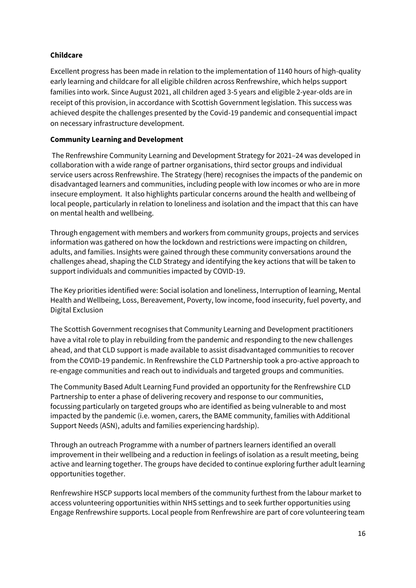### **Childcare**

Excellent progress has been made in relation to the implementation of 1140 hours of high-quality early learning and childcare for all eligible children across Renfrewshire, which helps support families into work. Since August 2021, all children aged 3-5 years and eligible 2-year-olds are in receipt of this provision, in accordance with Scottish Government legislation. This success was achieved despite the challenges presented by the Covid-19 pandemic and consequential impact on necessary infrastructure development.

### **Community Learning and Development**

The Renfrewshire Community Learning and Development Strategy for 2021–24 was developed in collaboration with a wide range of partner organisations, third sector groups and individual service users across Renfrewshire. The Strategy ([here](file://///rcdata/rcpublic$/Projects/RC/Tackling%20Poverty%20Programme/Phase%201%20-%20Poverty%20Commision%20&%20Strategy/7.%20Working%20documents%20(projects)/16%20-%20Child%20Poverty/Year%204/Renfrewshire%20Community%20Learning%20and%20Development%20Strategy%20for%202021–24)) recognises the impacts of the pandemic on disadvantaged learners and communities, including people with low incomes or who are in more insecure employment. It also highlights particular concerns around the health and wellbeing of local people, particularly in relation to loneliness and isolation and the impact that this can have on mental health and wellbeing.

Through engagement with members and workers from community groups, projects and services information was gathered on how the lockdown and restrictions were impacting on children, adults, and families. Insights were gained through these community conversations around the challenges ahead, shaping the CLD Strategy and identifying the key actions that will be taken to support individuals and communities impacted by COVID-19.

The Key priorities identified were: Social isolation and loneliness, Interruption of learning, Mental Health and Wellbeing, Loss, Bereavement, Poverty, low income, food insecurity, fuel poverty, and Digital Exclusion

The Scottish Government recognises that Community Learning and Development practitioners have a vital role to play in rebuilding from the pandemic and responding to the new challenges ahead, and that CLD support is made available to assist disadvantaged communities to recover from the COVID-19 pandemic. In Renfrewshire the CLD Partnership took a pro-active approach to re-engage communities and reach out to individuals and targeted groups and communities.

The Community Based Adult Learning Fund provided an opportunity for the Renfrewshire CLD Partnership to enter a phase of delivering recovery and response to our communities, focussing particularly on targeted groups who are identified as being vulnerable to and most impacted by the pandemic (i.e. women, carers, the BAME community, families with Additional Support Needs (ASN), adults and families experiencing hardship).

Through an outreach Programme with a number of partners learners identified an overall improvement in their wellbeing and a reduction in feelings of isolation as a result meeting, being active and learning together. The groups have decided to continue exploring further adult learning opportunities together.

Renfrewshire HSCP supports local members of the community furthest from the labour market to access volunteering opportunities within NHS settings and to seek further opportunities using Engage Renfrewshire supports. Local people from Renfrewshire are part of core volunteering team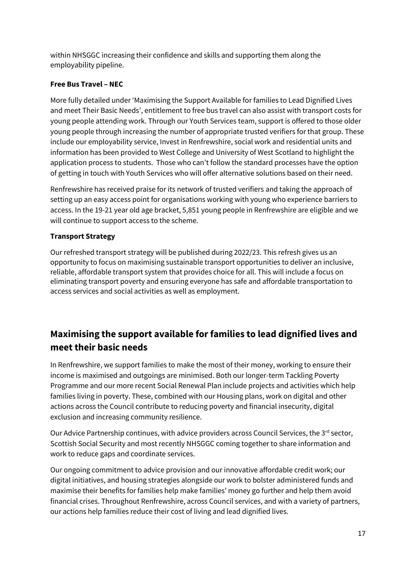within NHSGGC increasing their confidence and skills and supporting them along the employability pipeline.

# **Free Bus Travel – NEC**

More fully detailed under 'Maximising the Support Available for families to Lead Dignified Lives and meet Their Basic Needs', entitlement to free bus travel can also assist with transport costs for young people attending work. Through our Youth Services team, support is offered to those older young people through increasing the number of appropriate trusted verifiers for that group. These include our employability service, Invest in Renfrewshire, social work and residential units and information has been provided to West College and University of West Scotland to highlight the application process to students. Those who can't follow the standard processes have the option of getting in touch with Youth Services who will offer alternative solutions based on their need.

Renfrewshire has received praise for its network of trusted verifiers and taking the approach of setting up an easy access point for organisations working with young who experience barriers to access. In the 19-21 year old age bracket, 5,851 young people in Renfrewshire are eligible and we will continue to support access to the scheme.

# **Transport Strategy**

Our refreshed transport strategy will be published during 2022/23. This refresh gives us an opportunity to focus on maximising sustainable transport opportunities to deliver an inclusive, reliable, affordable transport system that provides choice for all. This will include a focus on eliminating transport poverty and ensuring everyone has safe and affordable transportation to access services and social activities as well as employment.

# **Maximising the support available for families to lead dignified lives and meet their basic needs**

In Renfrewshire, we support families to make the most of their money, working to ensure their income is maximised and outgoings are minimised. Both our longer-term Tackling Poverty Programme and our more recent Social Renewal Plan include projects and activities which help families living in poverty. These, combined with our Housing plans, work on digital and other actions across the Council contribute to reducing poverty and financial insecurity, digital exclusion and increasing community resilience.

Our Advice Partnership continues, with advice providers across Council Services, the 3<sup>rd</sup> sector, Scottish Social Security and most recently NHSGGC coming together to share information and work to reduce gaps and coordinate services.

Our ongoing commitment to advice provision and our innovative affordable credit work; our digital initiatives, and housing strategies alongside our work to bolster administered funds and maximise their benefits for families help make families' money go further and help them avoid financial crises. Throughout Renfrewshire, across Council services, and with a variety of partners, our actions help families reduce their cost of living and lead dignified lives.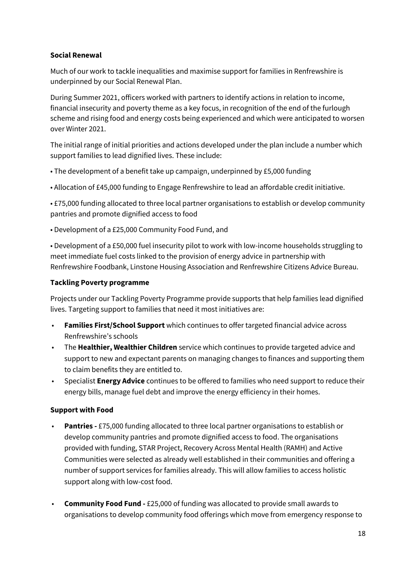### **Social Renewal**

Much of our work to tackle inequalities and maximise support for families in Renfrewshire is underpinned by our Social Renewal Plan.

During Summer 2021, officers worked with partners to identify actions in relation to income, financial insecurity and poverty theme as a key focus, in recognition of the end of the furlough scheme and rising food and energy costs being experienced and which were anticipated to worsen over Winter 2021.

The initial range of initial priorities and actions developed under the plan include a number which support families to lead dignified lives. These include:

- The development of a benefit take up campaign, underpinned by £5,000 funding
- Allocation of £45,000 funding to Engage Renfrewshire to lead an affordable credit initiative.

• £75,000 funding allocated to three local partner organisations to establish or develop community pantries and promote dignified access to food

• Development of a £25,000 Community Food Fund, and

• Development of a £50,000 fuel insecurity pilot to work with low-income households struggling to meet immediate fuel costs linked to the provision of energy advice in partnership with Renfrewshire Foodbank, Linstone Housing Association and Renfrewshire Citizens Advice Bureau.

### **Tackling Poverty programme**

Projects under our Tackling Poverty Programme provide supports that help families lead dignified lives. Targeting support to families that need it most initiatives are:

- **Families First/School Support** which continues to offer targeted financial advice across Renfrewshire's schools
- The **Healthier, Wealthier Children** service which continues to provide targeted advice and support to new and expectant parents on managing changes to finances and supporting them to claim benefits they are entitled to.
- Specialist **Energy Advice** continues to be offered to families who need support to reduce their energy bills, manage fuel debt and improve the energy efficiency in their homes.

### **Support with Food**

- **Pantries -** £75,000 funding allocated to three local partner organisations to establish or develop community pantries and promote dignified access to food. The organisations provided with funding, STAR Project, Recovery Across Mental Health (RAMH) and Active Communities were selected as already well established in their communities and offering a number of support services for families already. This will allow families to access holistic support along with low-cost food.
- **Community Food Fund -** £25,000 of funding was allocated to provide small awards to organisations to develop community food offerings which move from emergency response to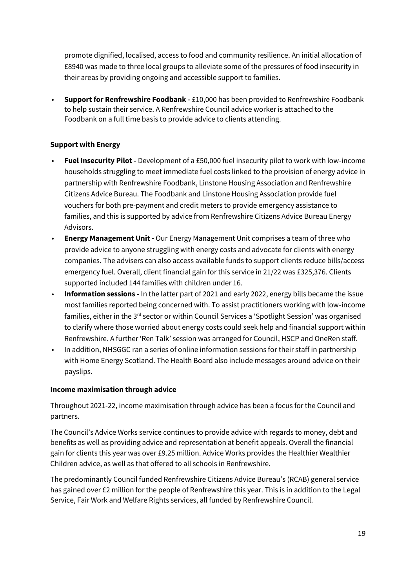promote dignified, localised, access to food and community resilience. An initial allocation of £8940 was made to three local groups to alleviate some of the pressures of food insecurity in their areas by providing ongoing and accessible support to families.

• **Support for Renfrewshire Foodbank -** £10,000 has been provided to Renfrewshire Foodbank to help sustain their service. A Renfrewshire Council advice worker is attached to the Foodbank on a full time basis to provide advice to clients attending.

### **Support with Energy**

- **Fuel Insecurity Pilot -** Development of a £50,000 fuel insecurity pilot to work with low-income households struggling to meet immediate fuel costs linked to the provision of energy advice in partnership with Renfrewshire Foodbank, Linstone Housing Association and Renfrewshire Citizens Advice Bureau. The Foodbank and Linstone Housing Association provide fuel vouchers for both pre-payment and credit meters to provide emergency assistance to families, and this is supported by advice from Renfrewshire Citizens Advice Bureau Energy Advisors.
- **Energy Management Unit -** Our Energy Management Unit comprises a team of three who provide advice to anyone struggling with energy costs and advocate for clients with energy companies. The advisers can also access available funds to support clients reduce bills/access emergency fuel. Overall, client financial gain for this service in 21/22 was £325,376. Clients supported included 144 families with children under 16.
- **Information sessions -** In the latter part of 2021 and early 2022, energy bills became the issue most families reported being concerned with. To assist practitioners working with low-income families, either in the 3<sup>rd</sup> sector or within Council Services a 'Spotlight Session' was organised to clarify where those worried about energy costs could seek help and financial support within Renfrewshire. A further 'Ren Talk' session was arranged for Council, HSCP and OneRen staff.
- In addition, NHSGGC ran a series of online information sessions for their staff in partnership with Home Energy Scotland. The Health Board also include messages around advice on their payslips.

### **Income maximisation through advice**

Throughout 2021-22, income maximisation through advice has been a focus for the Council and partners.

The Council's Advice Works service continues to provide advice with regards to money, debt and benefits as well as providing advice and representation at benefit appeals. Overall the financial gain for clients this year was over £9.25 million. Advice Works provides the Healthier Wealthier Children advice, as well as that offered to all schools in Renfrewshire.

The predominantly Council funded Renfrewshire Citizens Advice Bureau's (RCAB) general service has gained over £2 million for the people of Renfrewshire this year. This is in addition to the Legal Service, Fair Work and Welfare Rights services, all funded by Renfrewshire Council.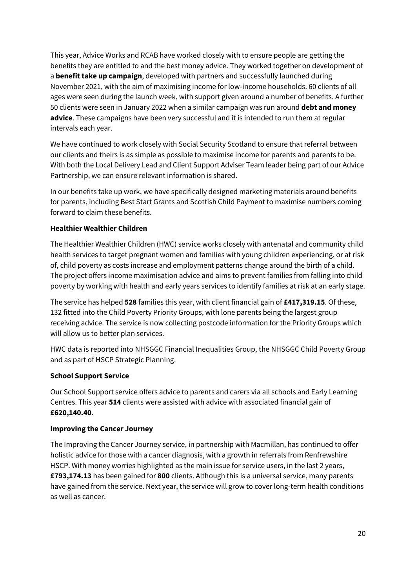This year, Advice Works and RCAB have worked closely with to ensure people are getting the benefits they are entitled to and the best money advice. They worked together on development of a **benefit take up campaign**, developed with partners and successfully launched during November 2021, with the aim of maximising income for low-income households. 60 clients of all ages were seen during the launch week, with support given around a number of benefits. A further 50 clients were seen in January 2022 when a similar campaign was run around **debt and money advice**. These campaigns have been very successful and it is intended to run them at regular intervals each year.

We have continued to work closely with Social Security Scotland to ensure that referral between our clients and theirs is as simple as possible to maximise income for parents and parents to be. With both the Local Delivery Lead and Client Support Adviser Team leader being part of our Advice Partnership, we can ensure relevant information is shared.

In our benefits take up work, we have specifically designed marketing materials around benefits for parents, including Best Start Grants and Scottish Child Payment to maximise numbers coming forward to claim these benefits.

## **Healthier Wealthier Children**

The Healthier Wealthier Children (HWC) service works closely with antenatal and community child health services to target pregnant women and families with young children experiencing, or at risk of, child poverty as costs increase and employment patterns change around the birth of a child. The project offers income maximisation advice and aims to prevent families from falling into child poverty by working with health and early years services to identify families at risk at an early stage.

The service has helped **528** families this year, with client financial gain of **£417,319.15**. Of these, 132 fitted into the Child Poverty Priority Groups, with lone parents being the largest group receiving advice. The service is now collecting postcode information for the Priority Groups which will allow us to better plan services.

HWC data is reported into NHSGGC Financial Inequalities Group, the NHSGGC Child Poverty Group and as part of HSCP Strategic Planning.

### **School Support Service**

Our School Support service offers advice to parents and carers via all schools and Early Learning Centres. This year **514** clients were assisted with advice with associated financial gain of **£620,140.40**.

### **Improving the Cancer Journey**

The Improving the Cancer Journey service, in partnership with Macmillan, has continued to offer holistic advice for those with a cancer diagnosis, with a growth in referrals from Renfrewshire HSCP. With money worries highlighted as the main issue for service users, in the last 2 years, **£793,174.13** has been gained for **800** clients. Although this is a universal service, many parents have gained from the service. Next year, the service will grow to cover long-term health conditions as well as cancer.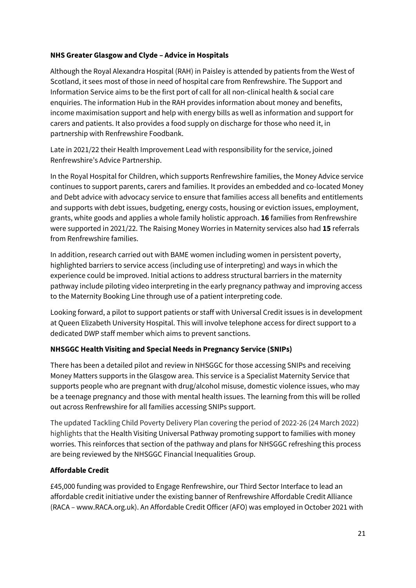### **NHS Greater Glasgow and Clyde – Advice in Hospitals**

Although the Royal Alexandra Hospital (RAH) in Paisley is attended by patients from the West of Scotland, it sees most of those in need of hospital care from Renfrewshire. The Support and Information Service aims to be the first port of call for all non-clinical health & social care enquiries. The information Hub in the RAH provides information about money and benefits, income maximisation support and help with energy bills as well as information and support for carers and patients. It also provides a food supply on discharge for those who need it, in partnership with Renfrewshire Foodbank.

Late in 2021/22 their Health Improvement Lead with responsibility for the service, joined Renfrewshire's Advice Partnership.

In the Royal Hospital for Children, which supports Renfrewshire families, the Money Advice service continues to support parents, carers and families. It provides an embedded and co-located Money and Debt advice with advocacy service to ensure that families access all benefits and entitlements and supports with debt issues, budgeting, energy costs, housing or eviction issues, employment, grants, white goods and applies a whole family holistic approach. **16** families from Renfrewshire were supported in 2021/22. The Raising Money Worries in Maternity services also had **15** referrals from Renfrewshire families.

In addition, research carried out with BAME women including women in persistent poverty, highlighted barriers to service access (including use of interpreting) and ways in which the experience could be improved. Initial actions to address structural barriers in the maternity pathway include piloting video interpreting in the early pregnancy pathway and improving access to the Maternity Booking Line through use of a patient interpreting code.

Looking forward, a pilot to support patients or staff with Universal Credit issues is in development at Queen Elizabeth University Hospital. This will involve telephone access for direct support to a dedicated DWP staff member which aims to prevent sanctions.

## **NHSGGC Health Visiting and Special Needs in Pregnancy Service (SNIPs)**

There has been a detailed pilot and review in NHSGGC for those accessing SNIPs and receiving Money Matters supports in the Glasgow area. This service is a Specialist Maternity Service that supports people who are pregnant with drug/alcohol misuse, domestic violence issues, who may be a teenage pregnancy and those with mental health issues. The learning from this will be rolled out across Renfrewshire for all families accessing SNIPs support.

The updated Tackling Child Poverty Delivery Plan covering the period of 2022-26 (24 March 2022) highlights that the Health Visiting Universal Pathway promoting support to families with money worries. This reinforces that section of the pathway and plans for NHSGGC refreshing this process are being reviewed by the NHSGGC Financial Inequalities Group.

## **Affordable Credit**

£45,000 funding was provided to Engage Renfrewshire, our Third Sector Interface to lead an affordable credit initiative under the existing banner of Renfrewshire Affordable Credit Alliance (RACA – www.RACA.org.uk). An Affordable Credit Officer (AFO) was employed in October 2021 with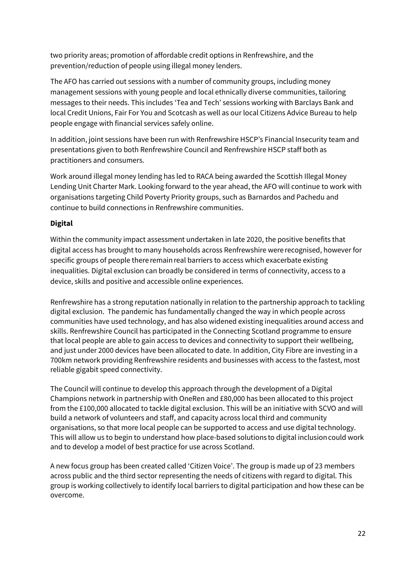two priority areas; promotion of affordable credit options in Renfrewshire, and the prevention/reduction of people using illegal money lenders.

The AFO has carried out sessions with a number of community groups, including money management sessions with young people and local ethnically diverse communities, tailoring messages to their needs. This includes 'Tea and Tech' sessions working with Barclays Bank and local Credit Unions, Fair For You and Scotcash as well as our local Citizens Advice Bureau to help people engage with financial services safely online.

In addition, joint sessions have been run with Renfrewshire HSCP's Financial Insecurity team and presentations given to both Renfrewshire Council and Renfrewshire HSCP staff both as practitioners and consumers.

Work around illegal money lending has led to RACA being awarded the Scottish Illegal Money Lending Unit Charter Mark. Looking forward to the year ahead, the AFO will continue to work with organisations targeting Child Poverty Priority groups, such as Barnardos and Pachedu and continue to build connections in Renfrewshire communities.

# **Digital**

Within the community impact assessment undertaken in late 2020, the positive benefits that digital access has brought to many households across Renfrewshire were recognised, however for specific groups of people there remain real barriers to access which exacerbate existing inequalities. Digital exclusion can broadly be considered in terms of connectivity, access to a device, skills and positive and accessible online experiences.

Renfrewshire has a strong reputation nationally in relation to the partnership approach to tackling digital exclusion. The pandemic has fundamentally changed the way in which people across communities have used technology, and has also widened existing inequalities around access and skills. Renfrewshire Council has participated in the Connecting Scotland programme to ensure that local people are able to gain access to devices and connectivity to support their wellbeing, and just under 2000 devices have been allocated to date. In addition, City Fibre are investing in a 700km network providing Renfrewshire residents and businesses with access to the fastest, most reliable gigabit speed connectivity.

The Council will continue to develop this approach through the development of a Digital Champions network in partnership with OneRen and £80,000 has been allocated to this project from the £100,000 allocated to tackle digital exclusion. This will be an initiative with SCVO and will build a network of volunteers and staff, and capacity across local third and community organisations, so that more local people can be supported to access and use digital technology. This will allow us to begin to understand how place-based solutions to digital inclusion could work and to develop a model of best practice for use across Scotland. 

A new focus group has been created called 'Citizen Voice'. The group is made up of 23 members across public and the third sector representing the needs of citizens with regard to digital. This group is working collectively to identify local barriers to digital participation and how these can be overcome.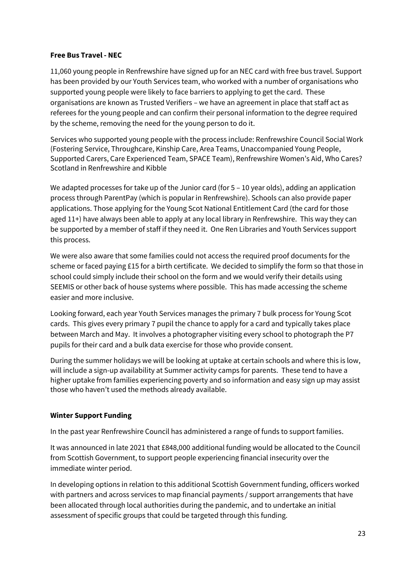### **Free Bus Travel - NEC**

11,060 young people in Renfrewshire have signed up for an NEC card with free bus travel. Support has been provided by our Youth Services team, who worked with a number of organisations who supported young people were likely to face barriers to applying to get the card. These organisations are known as Trusted Verifiers – we have an agreement in place that staff act as referees for the young people and can confirm their personal information to the degree required by the scheme, removing the need for the young person to do it.

Services who supported young people with the process include: Renfrewshire Council Social Work (Fostering Service, Throughcare, Kinship Care, Area Teams, Unaccompanied Young People, Supported Carers, Care Experienced Team, SPACE Team), Renfrewshire Women's Aid, Who Cares? Scotland in Renfrewshire and Kibble

We adapted processes for take up of the Junior card (for 5 - 10 year olds), adding an application process through ParentPay (which is popular in Renfrewshire). Schools can also provide paper applications. Those applying for the Young Scot National Entitlement Card (the card for those aged 11+) have always been able to apply at any local library in Renfrewshire. This way they can be supported by a member of staff if they need it. One Ren Libraries and Youth Services support this process.

We were also aware that some families could not access the required proof documents for the scheme or faced paying £15 for a birth certificate. We decided to simplify the form so that those in school could simply include their school on the form and we would verify their details using SEEMIS or other back of house systems where possible. This has made accessing the scheme easier and more inclusive.

Looking forward, each year Youth Services manages the primary 7 bulk process for Young Scot cards. This gives every primary 7 pupil the chance to apply for a card and typically takes place between March and May. It involves a photographer visiting every school to photograph the P7 pupils for their card and a bulk data exercise for those who provide consent.

During the summer holidays we will be looking at uptake at certain schools and where this is low, will include a sign-up availability at Summer activity camps for parents. These tend to have a higher uptake from families experiencing poverty and so information and easy sign up may assist those who haven't used the methods already available.

### **Winter Support Funding**

In the past year Renfrewshire Council has administered a range of funds to support families.

It was announced in late 2021 that £848,000 additional funding would be allocated to the Council from Scottish Government, to support people experiencing financial insecurity over the immediate winter period.

In developing options in relation to this additional Scottish Government funding, officers worked with partners and across services to map financial payments / support arrangements that have been allocated through local authorities during the pandemic, and to undertake an initial assessment of specific groups that could be targeted through this funding.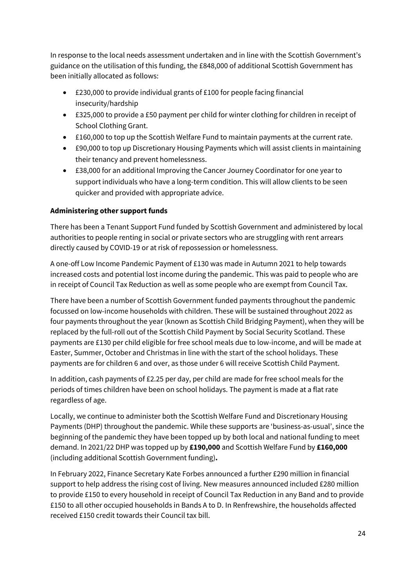In response to the local needs assessment undertaken and in line with the Scottish Government's guidance on the utilisation of this funding, the £848,000 of additional Scottish Government has been initially allocated as follows:

- £230,000 to provide individual grants of £100 for people facing financial insecurity/hardship
- £325,000 to provide a £50 payment per child for winter clothing for children in receipt of School Clothing Grant.
- £160,000 to top up the Scottish Welfare Fund to maintain payments at the current rate.
- £90,000 to top up Discretionary Housing Payments which will assist clients in maintaining their tenancy and prevent homelessness.
- £38,000 for an additional Improving the Cancer Journey Coordinator for one year to support individuals who have a long-term condition. This will allow clients to be seen quicker and provided with appropriate advice.

# **Administering other support funds**

There has been a Tenant Support Fund funded by Scottish Government and administered by local authorities to people renting in social or private sectors who are struggling with rent arrears directly caused by COVID-19 or at risk of repossession or homelessness.

A one-off Low Income Pandemic Payment of £130 was made in Autumn 2021 to help towards increased costs and potential lost income during the pandemic. This was paid to people who are in receipt of Council Tax Reduction as well as some people who are exempt from Council Tax.

There have been a number of Scottish Government funded payments throughout the pandemic focussed on low-income households with children. These will be sustained throughout 2022 as four payments throughout the year (known as Scottish Child Bridging Payment), when they will be replaced by the full-roll out of the Scottish Child Payment by Social Security Scotland. These payments are £130 per child eligible for free school meals due to low-income, and will be made at Easter, Summer, October and Christmas in line with the start of the school holidays. These payments are for children 6 and over, as those under 6 will receive Scottish Child Payment.

In addition, cash payments of £2.25 per day, per child are made for free school meals for the periods of times children have been on school holidays. The payment is made at a flat rate regardless of age.

Locally, we continue to administer both the Scottish Welfare Fund and Discretionary Housing Payments (DHP) throughout the pandemic. While these supports are 'business-as-usual', since the beginning of the pandemic they have been topped up by both local and national funding to meet demand. In 2021/22 DHP was topped up by **£190,000** and Scottish Welfare Fund by **£160,000**  (including additional Scottish Government funding)**.**

In February 2022, Finance Secretary Kate Forbes announced a further £290 million in financial support to help address the rising cost of living. New measures announced included £280 million to provide £150 to every household in receipt of Council Tax Reduction in any Band and to provide £150 to all other occupied households in Bands A to D. In Renfrewshire, the households affected received £150 credit towards their Council tax bill.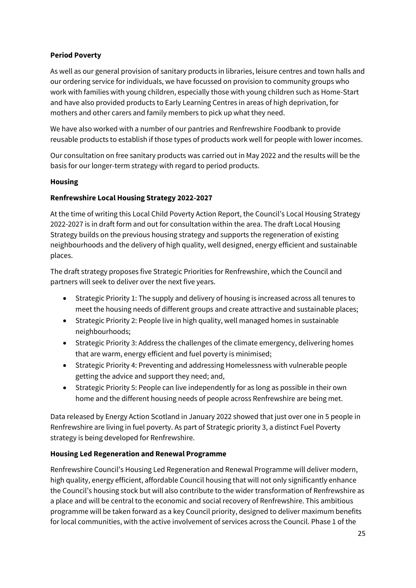# **Period Poverty**

As well as our general provision of sanitary products in libraries, leisure centres and town halls and our ordering service for individuals, we have focussed on provision to community groups who work with families with young children, especially those with young children such as Home-Start and have also provided products to Early Learning Centres in areas of high deprivation, for mothers and other carers and family members to pick up what they need.

We have also worked with a number of our pantries and Renfrewshire Foodbank to provide reusable products to establish if those types of products work well for people with lower incomes.

Our consultation on free sanitary products was carried out in May 2022 and the results will be the basis for our longer-term strategy with regard to period products.

## **Housing**

## **Renfrewshire Local Housing Strategy 2022-2027**

At the time of writing this Local Child Poverty Action Report, the Council's Local Housing Strategy 2022-2027 is in draft form and out for consultation within the area. The draft Local Housing Strategy builds on the previous housing strategy and supports the regeneration of existing neighbourhoods and the delivery of high quality, well designed, energy efficient and sustainable places.

The draft strategy proposes five Strategic Priorities for Renfrewshire, which the Council and partners will seek to deliver over the next five years.

- Strategic Priority 1: The supply and delivery of housing is increased across all tenures to meet the housing needs of different groups and create attractive and sustainable places;
- Strategic Priority 2: People live in high quality, well managed homes in sustainable neighbourhoods;
- Strategic Priority 3: Address the challenges of the climate emergency, delivering homes that are warm, energy efficient and fuel poverty is minimised;
- Strategic Priority 4: Preventing and addressing Homelessness with vulnerable people getting the advice and support they need; and,
- Strategic Priority 5: People can live independently for as long as possible in their own home and the different housing needs of people across Renfrewshire are being met.

Data released by Energy Action Scotland in January 2022 showed that just over one in 5 people in Renfrewshire are living in fuel poverty. As part of Strategic priority 3, a distinct Fuel Poverty strategy is being developed for Renfrewshire.

## **Housing Led Regeneration and Renewal Programme**

Renfrewshire Council's Housing Led Regeneration and Renewal Programme will deliver modern, high quality, energy efficient, affordable Council housing that will not only significantly enhance the Council's housing stock but will also contribute to the wider transformation of Renfrewshire as a place and will be central to the economic and social recovery of Renfrewshire. This ambitious programme will be taken forward as a key Council priority, designed to deliver maximum benefits for local communities, with the active involvement of services across the Council. Phase 1 of the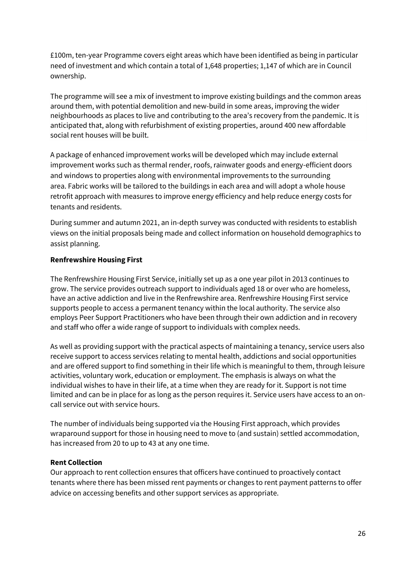£100m, ten-year Programme covers eight areas which have been identified as being in particular need of investment and which contain a total of 1,648 properties; 1,147 of which are in Council ownership.

The programme will see a mix of investment to improve existing buildings and the common areas around them, with potential demolition and new-build in some areas, improving the wider neighbourhoods as places to live and contributing to the area's recovery from the pandemic. It is anticipated that, along with refurbishment of existing properties, around 400 new affordable social rent houses will be built.

A package of enhanced improvement works will be developed which may include external improvement works such as thermal render, roofs, rainwater goods and energy-efficient doors and windows to properties along with environmental improvements to the surrounding area. Fabric works will be tailored to the buildings in each area and will adopt a whole house retrofit approach with measures to improve energy efficiency and help reduce energy costs for tenants and residents.

During summer and autumn 2021, an in-depth survey was conducted with residents to establish views on the initial proposals being made and collect information on household demographics to assist planning.

### **Renfrewshire Housing First**

The Renfrewshire Housing First Service, initially set up as a one year pilot in 2013 continues to grow. The service provides outreach support to individuals aged 18 or over who are homeless, have an active addiction and live in the Renfrewshire area. Renfrewshire Housing First service supports people to access a permanent tenancy within the local authority. The service also employs Peer Support Practitioners who have been through their own addiction and in recovery and staff who offer a wide range of support to individuals with complex needs.

As well as providing support with the practical aspects of maintaining a tenancy, service users also receive support to access services relating to mental health, addictions and social opportunities and are offered support to find something in their life which is meaningful to them, through leisure activities, voluntary work, education or employment. The emphasis is always on what the individual wishes to have in their life, at a time when they are ready for it. Support is not time limited and can be in place for as long as the person requires it. Service users have access to an oncall service out with service hours.

The number of individuals being supported via the Housing First approach, which provides wraparound support for those in housing need to move to (and sustain) settled accommodation, has increased from 20 to up to 43 at any one time.

### **Rent Collection**

Our approach to rent collection ensures that officers have continued to proactively contact tenants where there has been missed rent payments or changes to rent payment patterns to offer advice on accessing benefits and other support services as appropriate.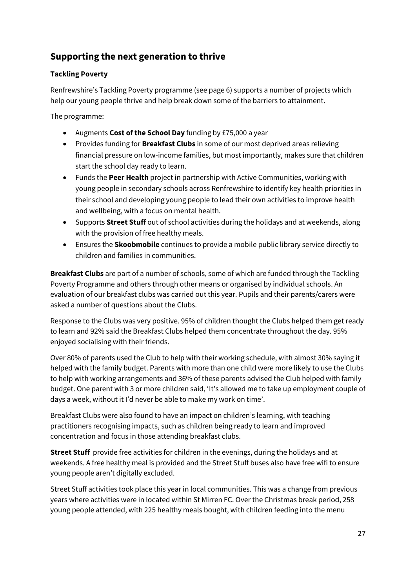# **Supporting the next generation to thrive**

# **Tackling Poverty**

Renfrewshire's Tackling Poverty programme (see page 6) supports a number of projects which help our young people thrive and help break down some of the barriers to attainment.

The programme:

- Augments **Cost of the School Day** funding by £75,000 a year
- Provides funding for **Breakfast Clubs** in some of our most deprived areas relieving financial pressure on low-income families, but most importantly, makes sure that children start the school day ready to learn.
- Funds the **Peer Health** project in partnership with Active Communities, working with young people in secondary schools across Renfrewshire to identify key health priorities in their school and developing young people to lead their own activities to improve health and wellbeing, with a focus on mental health.
- Supports **Street Stuff** out of school activities during the holidays and at weekends, along with the provision of free healthy meals.
- Ensures the **Skoobmobile** continues to provide a mobile public library service directly to children and families in communities.

**Breakfast Clubs** are part of a number of schools, some of which are funded through the Tackling Poverty Programme and others through other means or organised by individual schools. An evaluation of our breakfast clubs was carried out this year. Pupils and their parents/carers were asked a number of questions about the Clubs.

Response to the Clubs was very positive. 95% of children thought the Clubs helped them get ready to learn and 92% said the Breakfast Clubs helped them concentrate throughout the day. 95% enjoyed socialising with their friends.

Over 80% of parents used the Club to help with their working schedule, with almost 30% saying it helped with the family budget. Parents with more than one child were more likely to use the Clubs to help with working arrangements and 36% of these parents advised the Club helped with family budget. One parent with 3 or more children said, 'It's allowed me to take up employment couple of days a week, without it I'd never be able to make my work on time'.

Breakfast Clubs were also found to have an impact on children's learning, with teaching practitioners recognising impacts, such as children being ready to learn and improved concentration and focus in those attending breakfast clubs.

**Street Stuff** provide free activities for children in the evenings, during the holidays and at weekends. A free healthy meal is provided and the Street Stuff buses also have free wifi to ensure young people aren't digitally excluded.

Street Stuff activities took place this year in local communities. This was a change from previous years where activities were in located within St Mirren FC. Over the Christmas break period, 258 young people attended, with 225 healthy meals bought, with children feeding into the menu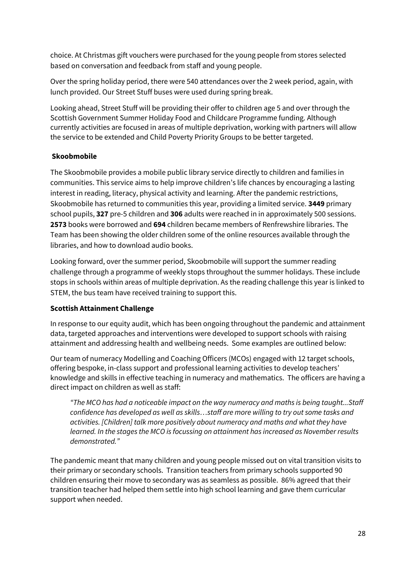choice. At Christmas gift vouchers were purchased for the young people from stores selected based on conversation and feedback from staff and young people.

Over the spring holiday period, there were 540 attendances over the 2 week period, again, with lunch provided. Our Street Stuff buses were used during spring break.

Looking ahead, Street Stuff will be providing their offer to children age 5 and over through the Scottish Government Summer Holiday Food and Childcare Programme funding. Although currently activities are focused in areas of multiple deprivation, working with partners will allow the service to be extended and Child Poverty Priority Groups to be better targeted.

## **Skoobmobile**

The Skoobmobile provides a mobile public library service directly to children and families in communities. This service aims to help improve children's life chances by encouraging a lasting interest in reading, literacy, physical activity and learning. After the pandemic restrictions, Skoobmobile has returned to communities this year, providing a limited service. **3449** primary school pupils, **327** pre-5 children and **306** adults were reached in in approximately 500 sessions. **2573** books were borrowed and **694** children became members of Renfrewshire libraries. The Team has been showing the older children some of the online resources available through the libraries, and how to download audio books.

Looking forward, over the summer period, Skoobmobile will support the summer reading challenge through a programme of weekly stops throughout the summer holidays. These include stops in schools within areas of multiple deprivation. As the reading challenge this year is linked to STEM, the bus team have received training to support this.

## **Scottish Attainment Challenge**

In response to our equity audit, which has been ongoing throughout the pandemic and attainment data, targeted approaches and interventions were developed to support schools with raising attainment and addressing health and wellbeing needs. Some examples are outlined below:

Our team of numeracy Modelling and Coaching Officers (MCOs) engaged with 12 target schools, offering bespoke, in-class support and professional learning activities to develop teachers' knowledge and skills in effective teaching in numeracy and mathematics. The officers are having a direct impact on children as well as staff:

*"The MCO has had a noticeable impact on the way numeracy and maths is being taught...Staff confidence has developed as well as skills…staff are more willing to try out some tasks and activities. [Children] talk more positively about numeracy and maths and what they have learned. In the stages the MCO is focussing on attainment has increased as November results demonstrated."* 

The pandemic meant that many children and young people missed out on vital transition visits to their primary or secondary schools. Transition teachers from primary schools supported 90 children ensuring their move to secondary was as seamless as possible. 86% agreed that their transition teacher had helped them settle into high school learning and gave them curricular support when needed.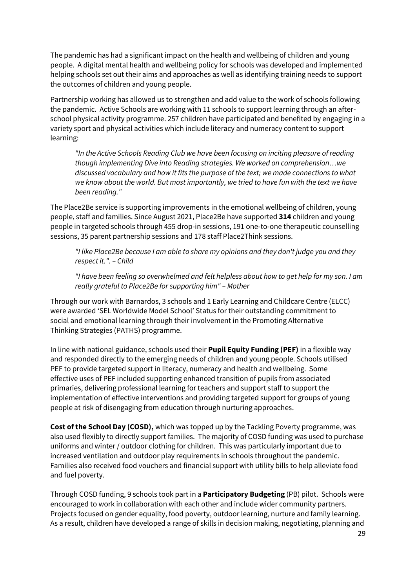The pandemic has had a significant impact on the health and wellbeing of children and young people. A digital mental health and wellbeing policy for schools was developed and implemented helping schools set out their aims and approaches as well as identifying training needs to support the outcomes of children and young people.

Partnership working has allowed us to strengthen and add value to the work of schools following the pandemic. Active Schools are working with 11 schools to support learning through an afterschool physical activity programme. 257 children have participated and benefited by engaging in a variety sport and physical activities which include literacy and numeracy content to support learning:

*"In the Active Schools Reading Club we have been focusing on inciting pleasure of reading though implementing Dive into Reading strategies. We worked on comprehension…we discussed vocabulary and how it fits the purpose of the text; we made connections to what we know about the world. But most importantly, we tried to have fun with the text we have been reading."*

The Place2Be service is supporting improvements in the emotional wellbeing of children, young people, staff and families. Since August 2021, Place2Be have supported **314** children and young people in targeted schools through 455 drop-in sessions, 191 one-to-one therapeutic counselling sessions, 35 parent partnership sessions and 178 staff Place2Think sessions.

*"I like Place2Be because I am able to share my opinions and they don't judge you and they respect it.". – Child* 

*"I have been feeling so overwhelmed and felt helpless about how to get help for my son. I am really grateful to Place2Be for supporting him" – Mother*

Through our work with Barnardos, 3 schools and 1 Early Learning and Childcare Centre (ELCC) were awarded 'SEL Worldwide Model School' Status for their outstanding commitment to social and emotional learning through their involvement in the Promoting Alternative Thinking Strategies (PATHS) programme.

In line with national guidance, schools used their **Pupil Equity Funding (PEF)** in a flexible way and responded directly to the emerging needs of children and young people. Schools utilised PEF to provide targeted support in literacy, numeracy and health and wellbeing. Some effective uses of PEF included supporting enhanced transition of pupils from associated primaries, delivering professional learning for teachers and support staff to support the implementation of effective interventions and providing targeted support for groups of young people at risk of disengaging from education through nurturing approaches.

**Cost of the School Day (COSD),** which was topped up by the Tackling Poverty programme, was also used flexibly to directly support families. The majority of COSD funding was used to purchase uniforms and winter / outdoor clothing for children. This was particularly important due to increased ventilation and outdoor play requirements in schools throughout the pandemic. Families also received food vouchers and financial support with utility bills to help alleviate food and fuel poverty.

Through COSD funding, 9 schools took part in a **Participatory Budgeting** (PB) pilot. Schools were encouraged to work in collaboration with each other and include wider community partners. Projects focused on gender equality, food poverty, outdoor learning, nurture and family learning. As a result, children have developed a range of skills in decision making, negotiating, planning and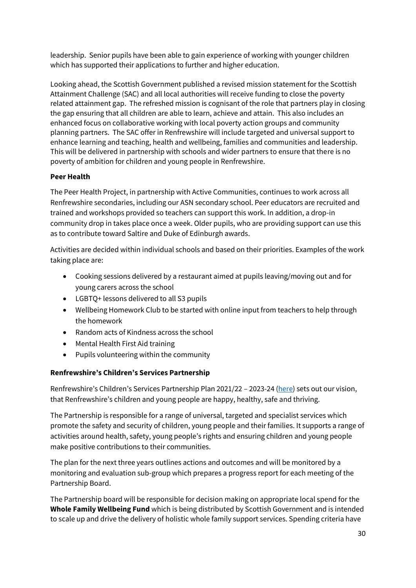leadership. Senior pupils have been able to gain experience of working with younger children which has supported their applications to further and higher education.

Looking ahead, the Scottish Government published a revised mission statement for the Scottish Attainment Challenge (SAC) and all local authorities will receive funding to close the poverty related attainment gap. The refreshed mission is cognisant of the role that partners play in closing the gap ensuring that all children are able to learn, achieve and attain. This also includes an enhanced focus on collaborative working with local poverty action groups and community planning partners. The SAC offer in Renfrewshire will include targeted and universal support to enhance learning and teaching, health and wellbeing, families and communities and leadership. This will be delivered in partnership with schools and wider partners to ensure that there is no poverty of ambition for children and young people in Renfrewshire.

# **Peer Health**

The Peer Health Project, in partnership with Active Communities, continues to work across all Renfrewshire secondaries, including our ASN secondary school. Peer educators are recruited and trained and workshops provided so teachers can support this work. In addition, a drop-in community drop in takes place once a week. Older pupils, who are providing support can use this as to contribute toward Saltire and Duke of Edinburgh awards.

Activities are decided within individual schools and based on their priorities. Examples of the work taking place are:

- Cooking sessions delivered by a restaurant aimed at pupils leaving/moving out and for young carers across the school
- LGBTQ+ lessons delivered to all S3 pupils
- Wellbeing Homework Club to be started with online input from teachers to help through the homework
- Random acts of Kindness across the school
- Mental Health First Aid training
- Pupils volunteering within the community

## **Renfrewshire's Children's Services Partnership**

Renfrewshire's Children's Services Partnership Plan 2021/22 – 2023-24 [\(here\)](https://www.renfrewshire.gov.uk/media/13677/Renfrewshire-Childrens-Services-Partnership-Plan-2021-24/pdf/RCSP_Plan_2021-24.pdf?m=1628586448837) sets out our vision, that Renfrewshire's children and young people are happy, healthy, safe and thriving.

The Partnership is responsible for a range of universal, targeted and specialist services which promote the safety and security of children, young people and their families. It supports a range of activities around health, safety, young people's rights and ensuring children and young people make positive contributions to their communities.

The plan for the next three years outlines actions and outcomes and will be monitored by a monitoring and evaluation sub-group which prepares a progress report for each meeting of the Partnership Board.

The Partnership board will be responsible for decision making on appropriate local spend for the **Whole Family Wellbeing Fund** which is being distributed by Scottish Government and is intended to scale up and drive the delivery of holistic whole family support services. Spending criteria have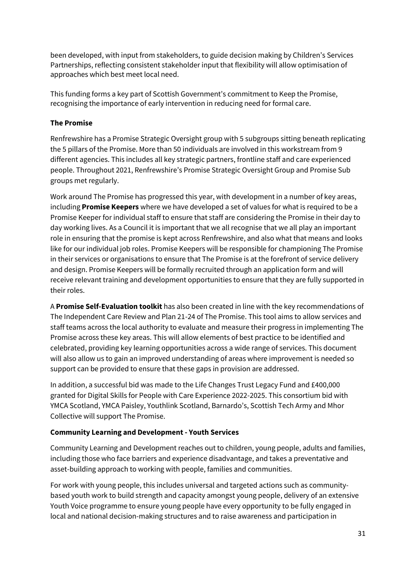been developed, with input from stakeholders, to guide decision making by Children's Services Partnerships, reflecting consistent stakeholder input that flexibility will allow optimisation of approaches which best meet local need.

This funding forms a key part of Scottish Government's commitment to Keep the Promise, recognising the importance of early intervention in reducing need for formal care.

### **The Promise**

Renfrewshire has a Promise Strategic Oversight group with 5 subgroups sitting beneath replicating the 5 pillars of the Promise. More than 50 individuals are involved in this workstream from 9 different agencies. This includes all key strategic partners, frontline staff and care experienced people. Throughout 2021, Renfrewshire's Promise Strategic Oversight Group and Promise Sub groups met regularly.

Work around The Promise has progressed this year, with development in a number of key areas, including **Promise Keepers** where we have developed a set of values for what is required to be a Promise Keeper for individual staff to ensure that staff are considering the Promise in their day to day working lives. As a Council it is important that we all recognise that we all play an important role in ensuring that the promise is kept across Renfrewshire, and also what that means and looks like for our individual job roles. Promise Keepers will be responsible for championing The Promise in their services or organisations to ensure that The Promise is at the forefront of service delivery and design. Promise Keepers will be formally recruited through an application form and will receive relevant training and development opportunities to ensure that they are fully supported in their roles.

A **Promise Self-Evaluation toolkit** has also been created in line with the key recommendations of The Independent Care Review and Plan 21-24 of The Promise. This tool aims to allow services and staff teams across the local authority to evaluate and measure their progress in implementing The Promise across these key areas. This will allow elements of best practice to be identified and celebrated, providing key learning opportunities across a wide range of services. This document will also allow us to gain an improved understanding of areas where improvement is needed so support can be provided to ensure that these gaps in provision are addressed.

In addition, a successful bid was made to the Life Changes Trust Legacy Fund and £400,000 granted for Digital Skills for People with Care Experience 2022-2025. This consortium bid with YMCA Scotland, YMCA Paisley, Youthlink Scotland, Barnardo's, Scottish Tech Army and Mhor Collective will support The Promise.

## **Community Learning and Development - Youth Services**

Community Learning and Development reaches out to children, young people, adults and families, including those who face barriers and experience disadvantage, and takes a preventative and asset-building approach to working with people, families and communities.

For work with young people, this includes universal and targeted actions such as communitybased youth work to build strength and capacity amongst young people, delivery of an extensive Youth Voice programme to ensure young people have every opportunity to be fully engaged in local and national decision-making structures and to raise awareness and participation in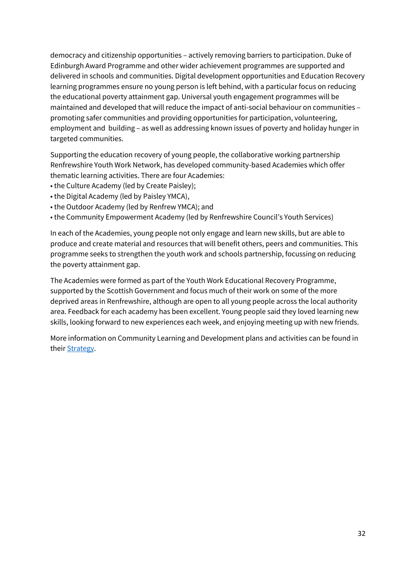democracy and citizenship opportunities – actively removing barriers to participation. Duke of Edinburgh Award Programme and other wider achievement programmes are supported and delivered in schools and communities. Digital development opportunities and Education Recovery learning programmes ensure no young person is left behind, with a particular focus on reducing the educational poverty attainment gap. Universal youth engagement programmes will be maintained and developed that will reduce the impact of anti-social behaviour on communities – promoting safer communities and providing opportunities for participation, volunteering, employment and building – as well as addressing known issues of poverty and holiday hunger in targeted communities.

Supporting the education recovery of young people, the collaborative working partnership Renfrewshire Youth Work Network, has developed community-based Academies which offer thematic learning activities. There are four Academies:

- the Culture Academy (led by [Create Paisley\)](https://www.createpaisley.org.uk/);
- the Digital Academy (led by [Paisley YMCA\)](https://paisleyymca.org/),
- the Outdoor Academy (led by [Renfrew YMCA\)](https://www.facebook.com/renfrewymca2011/); and
- the Community Empowerment Academy (led by [Renfrewshire Council's Youth Services](https://www.renfrewshire.gov.uk/article/4396/Youth-Services))

In each of the Academies, young people not only engage and learn new skills, but are able to produce and create material and resources that will benefit others, peers and communities. This programme seeks to strengthen the youth work and schools partnership, focussing on reducing the poverty attainment gap.

The Academies were formed as part of the [Youth Work Educational Recovery Programme,](https://www.gov.scot/news/boost-for-scottish-youth-work/) supported by the Scottish Government and focus much of their work on some of the more deprived areas in Renfrewshire, although are open to all young people across the local authority area. Feedback for each academy has been excellent. Young people said they loved learning new skills, looking forward to new experiences each week, and enjoying meeting up with new friends.

More information on Community Learning and Development plans and activities can be found in their [Strategy.](https://www.renfrewshire.gov.uk/media/13775/Community-learning-and-development-strategy-2021-2024/pdf/community-learning-development-strategy-2021-2024.pdf?m=1631721641627#:~:text=The%20Community%20Learning%20and%20Development,have%20had%20their%20voices%20heard.)